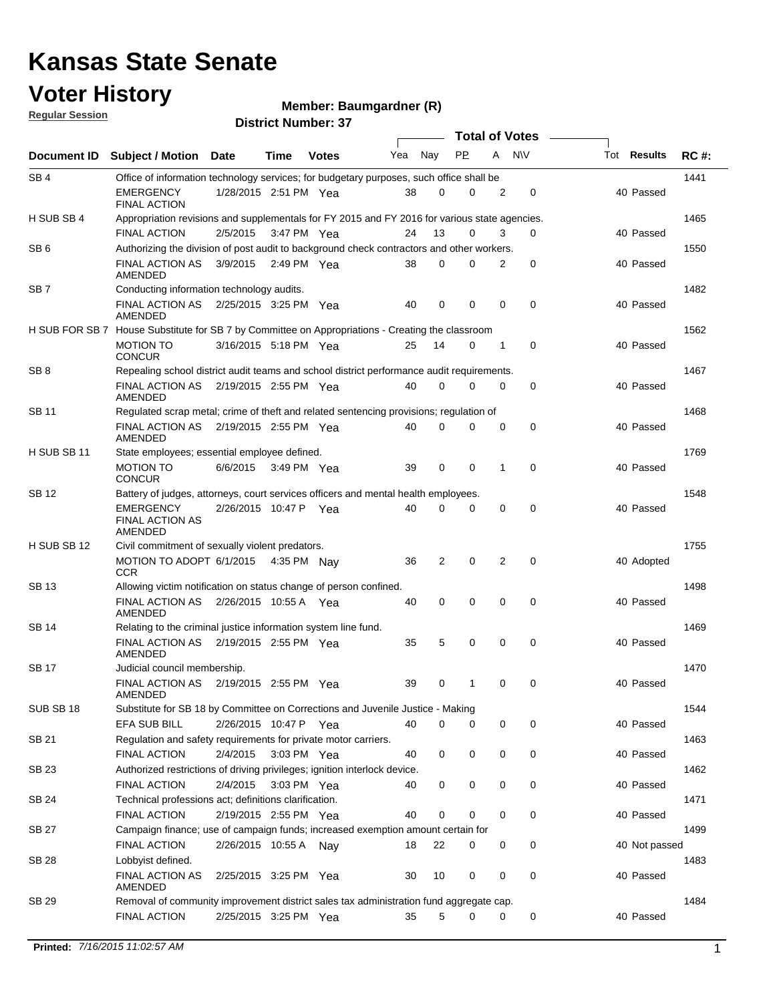#### **Voter History**

**Member: Baumgardner (R)** 

|  | <b>Regular Session</b> |
|--|------------------------|
|  |                        |

|                    | <b>Total of Votes</b>                                                                                                |                       |             |              |     |             |             |             |             |               |             |
|--------------------|----------------------------------------------------------------------------------------------------------------------|-----------------------|-------------|--------------|-----|-------------|-------------|-------------|-------------|---------------|-------------|
| <b>Document ID</b> | <b>Subject / Motion</b>                                                                                              | Date                  | Time        | <b>Votes</b> | Yea | Nay         | <b>PP</b>   | A           | <b>NV</b>   | Tot Results   | <b>RC#:</b> |
| SB <sub>4</sub>    | Office of information technology services; for budgetary purposes, such office shall be                              |                       |             |              |     |             |             |             |             |               | 1441        |
|                    | <b>EMERGENCY</b><br><b>FINAL ACTION</b>                                                                              | 1/28/2015 2:51 PM Yea |             |              | 38  | 0           | 0           | 2           | 0           | 40 Passed     |             |
| H SUB SB 4         | Appropriation revisions and supplementals for FY 2015 and FY 2016 for various state agencies.<br><b>FINAL ACTION</b> | 2/5/2015              | 3:47 PM Yea |              | 24  | 13          | 0           | 3           | 0           | 40 Passed     | 1465        |
| SB <sub>6</sub>    | Authorizing the division of post audit to background check contractors and other workers.                            |                       |             |              |     |             |             |             |             |               | 1550        |
|                    | <b>FINAL ACTION AS</b><br>AMENDED                                                                                    | 3/9/2015              | 2:49 PM Yea |              | 38  | $\mathbf 0$ | 0           | 2           | 0           | 40 Passed     |             |
| SB <sub>7</sub>    | Conducting information technology audits.                                                                            |                       |             |              |     |             |             |             |             |               | 1482        |
|                    | FINAL ACTION AS 2/25/2015 3:25 PM Yea<br>AMENDED                                                                     |                       |             |              | 40  | $\mathbf 0$ | $\mathbf 0$ | $\mathbf 0$ | $\mathbf 0$ | 40 Passed     |             |
| H SUB FOR SB 7     | House Substitute for SB 7 by Committee on Appropriations - Creating the classroom                                    |                       |             |              |     |             |             |             |             |               | 1562        |
|                    | <b>MOTION TO</b><br><b>CONCUR</b>                                                                                    | 3/16/2015 5:18 PM Yea |             |              | 25  | 14          | 0           | 1           | 0           | 40 Passed     |             |
| SB <sub>8</sub>    | Repealing school district audit teams and school district performance audit requirements.                            |                       |             |              |     |             |             |             |             |               | 1467        |
|                    | FINAL ACTION AS<br>AMENDED                                                                                           | 2/19/2015 2:55 PM Yea |             |              | 40  | $\mathbf 0$ | 0           | 0           | 0           | 40 Passed     |             |
| SB 11              | Regulated scrap metal; crime of theft and related sentencing provisions; regulation of                               |                       |             |              |     |             |             |             |             |               | 1468        |
|                    | FINAL ACTION AS<br><b>AMENDED</b>                                                                                    | 2/19/2015 2:55 PM Yea |             |              | 40  | 0           | 0           | $\mathbf 0$ | 0           | 40 Passed     |             |
| H SUB SB 11        | State employees; essential employee defined.                                                                         |                       |             |              |     |             |             |             |             |               | 1769        |
|                    | <b>MOTION TO</b><br><b>CONCUR</b>                                                                                    | 6/6/2015              | 3:49 PM Yea |              | 39  | 0           | $\mathbf 0$ | 1           | $\mathbf 0$ | 40 Passed     |             |
| <b>SB 12</b>       | Battery of judges, attorneys, court services officers and mental health employees.                                   |                       |             |              |     |             |             |             |             |               | 1548        |
|                    | <b>EMERGENCY</b><br><b>FINAL ACTION AS</b><br>AMENDED                                                                | 2/26/2015 10:47 P     |             | Yea          | 40  | 0           | 0           | 0           | $\mathbf 0$ | 40 Passed     |             |
| H SUB SB 12        | Civil commitment of sexually violent predators.                                                                      |                       |             |              |     |             |             |             |             |               | 1755        |
|                    | MOTION TO ADOPT 6/1/2015 4:35 PM Nay<br><b>CCR</b>                                                                   |                       |             |              | 36  | 2           | $\mathbf 0$ | 2           | $\mathbf 0$ | 40 Adopted    |             |
| SB 13              | Allowing victim notification on status change of person confined.                                                    |                       |             |              |     |             |             |             |             |               | 1498        |
|                    | FINAL ACTION AS<br>AMENDED                                                                                           | 2/26/2015 10:55 A Yea |             |              | 40  | 0           | 0           | 0           | $\mathbf 0$ | 40 Passed     |             |
| SB 14              | Relating to the criminal justice information system line fund.                                                       |                       |             |              |     |             |             |             |             |               | 1469        |
|                    | FINAL ACTION AS<br>AMENDED                                                                                           | 2/19/2015 2:55 PM Yea |             |              | 35  | 5           | 0           | 0           | 0           | 40 Passed     |             |
| <b>SB17</b>        | Judicial council membership.                                                                                         |                       |             |              |     |             |             |             |             |               | 1470        |
|                    | <b>FINAL ACTION AS</b><br>AMENDED                                                                                    | 2/19/2015 2:55 PM Yea |             |              | 39  | $\mathbf 0$ | 1           | $\mathbf 0$ | $\mathbf 0$ | 40 Passed     |             |
| SUB SB 18          | Substitute for SB 18 by Committee on Corrections and Juvenile Justice - Making                                       |                       |             |              |     |             |             |             |             |               | 1544        |
|                    | <b>EFA SUB BILL</b>                                                                                                  | 2/26/2015 10:47 P Yea |             |              | 40  | 0           | 0           | 0           | 0           | 40 Passed     |             |
| SB 21              | Regulation and safety requirements for private motor carriers.                                                       |                       |             |              |     |             |             |             |             |               | 1463        |
|                    | FINAL ACTION                                                                                                         | 2/4/2015              | 3:03 PM Yea |              | 40  | 0           | 0           | 0           | 0           | 40 Passed     |             |
| SB 23              | Authorized restrictions of driving privileges; ignition interlock device.                                            |                       |             |              |     |             |             |             |             |               | 1462        |
| <b>SB 24</b>       | <b>FINAL ACTION</b>                                                                                                  | 2/4/2015              | 3:03 PM Yea |              | 40  | 0           | 0           | 0           | 0           | 40 Passed     | 1471        |
|                    | Technical professions act; definitions clarification.                                                                |                       |             |              |     |             | 0           |             |             |               |             |
|                    | <b>FINAL ACTION</b><br>Campaign finance; use of campaign funds; increased exemption amount certain for               | 2/19/2015 2:55 PM Yea |             |              | 40  | 0           |             | 0           | 0           | 40 Passed     |             |
| SB 27              | FINAL ACTION                                                                                                         |                       |             |              |     | 22          | 0           |             |             |               | 1499        |
|                    |                                                                                                                      | 2/26/2015 10:55 A Nay |             |              | 18  |             |             | 0           | 0           | 40 Not passed |             |
| SB 28              | Lobbyist defined.<br>FINAL ACTION AS<br>AMENDED                                                                      | 2/25/2015 3:25 PM Yea |             |              | 30  | 10          | 0           | 0           | 0           | 40 Passed     | 1483        |
| SB 29              | Removal of community improvement district sales tax administration fund aggregate cap.                               |                       |             |              |     |             |             |             |             |               | 1484        |
|                    | FINAL ACTION                                                                                                         | 2/25/2015 3:25 PM Yea |             |              | 35  | 5           | 0           | 0           | 0           | 40 Passed     |             |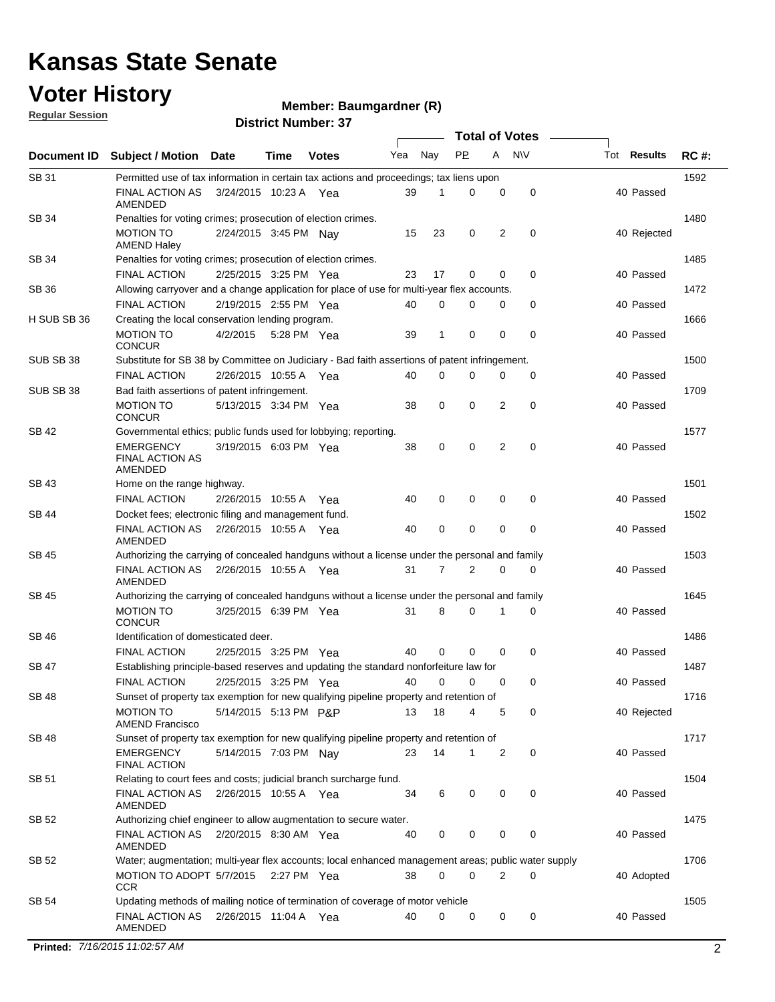### **Voter History**

**Regular Session**

#### **Member: Baumgardner (R)**

|              |                                                                                                     |                       |             |              |     |             | <b>Total of Votes</b> |          |             |  |                    |             |
|--------------|-----------------------------------------------------------------------------------------------------|-----------------------|-------------|--------------|-----|-------------|-----------------------|----------|-------------|--|--------------------|-------------|
| Document ID  | <b>Subject / Motion</b>                                                                             | <b>Date</b>           | Time        | <b>Votes</b> | Yea | Nay         | <b>PP</b>             | A        | <b>NV</b>   |  | Tot <b>Results</b> | <b>RC#:</b> |
| SB 31        | Permitted use of tax information in certain tax actions and proceedings; tax liens upon             |                       |             |              |     |             |                       |          |             |  |                    | 1592        |
|              | FINAL ACTION AS<br>AMENDED                                                                          | 3/24/2015 10:23 A Yea |             |              | 39  | 1           | 0                     | 0        | 0           |  | 40 Passed          |             |
| SB 34        | Penalties for voting crimes; prosecution of election crimes.                                        |                       |             |              |     |             |                       |          |             |  |                    | 1480        |
|              | <b>MOTION TO</b><br><b>AMEND Haley</b>                                                              | 2/24/2015 3:45 PM Nay |             |              | 15  | 23          | 0                     | 2        | $\mathbf 0$ |  | 40 Rejected        |             |
| <b>SB 34</b> | Penalties for voting crimes; prosecution of election crimes.                                        |                       |             |              |     |             |                       |          |             |  |                    | 1485        |
|              | <b>FINAL ACTION</b>                                                                                 | 2/25/2015 3:25 PM Yea |             |              | 23  | 17          | 0                     | $\Omega$ | $\mathbf 0$ |  | 40 Passed          |             |
| SB 36        | Allowing carryover and a change application for place of use for multi-year flex accounts.          |                       |             |              |     |             |                       |          |             |  |                    | 1472        |
|              | <b>FINAL ACTION</b>                                                                                 | 2/19/2015 2:55 PM Yea |             |              | 40  | $\Omega$    | 0                     | 0        | 0           |  | 40 Passed          |             |
| H SUB SB 36  | Creating the local conservation lending program.                                                    |                       |             |              |     |             |                       |          |             |  |                    | 1666        |
|              | <b>MOTION TO</b><br><b>CONCUR</b>                                                                   | 4/2/2015              | 5:28 PM Yea |              | 39  | 1           | $\mathbf 0$           | 0        | $\mathbf 0$ |  | 40 Passed          |             |
| SUB SB 38    | Substitute for SB 38 by Committee on Judiciary - Bad faith assertions of patent infringement.       |                       |             |              |     |             |                       |          |             |  |                    | 1500        |
|              | <b>FINAL ACTION</b>                                                                                 | 2/26/2015 10:55 A Yea |             |              | 40  | 0           | 0                     | 0        | 0           |  | 40 Passed          |             |
| SUB SB 38    | Bad faith assertions of patent infringement.                                                        |                       |             |              |     |             |                       |          |             |  |                    | 1709        |
|              | <b>MOTION TO</b><br><b>CONCUR</b>                                                                   | 5/13/2015 3:34 PM Yea |             |              | 38  | 0           | 0                     | 2        | 0           |  | 40 Passed          |             |
| <b>SB 42</b> | Governmental ethics; public funds used for lobbying; reporting.                                     |                       |             |              |     |             |                       |          |             |  |                    | 1577        |
|              | <b>EMERGENCY</b><br><b>FINAL ACTION AS</b><br>AMENDED                                               | 3/19/2015 6:03 PM Yea |             |              | 38  | 0           | 0                     | 2        | $\mathbf 0$ |  | 40 Passed          |             |
| <b>SB 43</b> | Home on the range highway.                                                                          |                       |             |              |     |             |                       |          |             |  |                    | 1501        |
|              | <b>FINAL ACTION</b>                                                                                 | 2/26/2015 10:55 A     |             | Yea          | 40  | 0           | 0                     | 0        | $\mathbf 0$ |  | 40 Passed          |             |
| SB 44        | Docket fees; electronic filing and management fund.                                                 |                       |             |              |     |             |                       |          |             |  |                    | 1502        |
|              | <b>FINAL ACTION AS</b><br>AMENDED                                                                   | 2/26/2015 10:55 A     |             | Yea          | 40  | $\mathbf 0$ | 0                     | 0        | $\mathbf 0$ |  | 40 Passed          |             |
| SB 45        | Authorizing the carrying of concealed handguns without a license under the personal and family      |                       |             |              |     |             |                       |          |             |  |                    | 1503        |
|              | FINAL ACTION AS<br>AMENDED                                                                          | 2/26/2015 10:55 A Yea |             |              | 31  | 7           | 2                     | 0        | 0           |  | 40 Passed          |             |
| SB 45        | Authorizing the carrying of concealed handguns without a license under the personal and family      |                       |             |              |     |             |                       |          |             |  |                    | 1645        |
|              | <b>MOTION TO</b><br><b>CONCUR</b>                                                                   | 3/25/2015 6:39 PM Yea |             |              | 31  | 8           | 0                     |          | 0           |  | 40 Passed          |             |
| <b>SB 46</b> | Identification of domesticated deer.                                                                |                       |             |              |     |             |                       |          |             |  |                    | 1486        |
|              | <b>FINAL ACTION</b>                                                                                 | 2/25/2015 3:25 PM Yea |             |              | 40  | $\mathbf 0$ | $\mathbf 0$           | 0        | $\mathbf 0$ |  | 40 Passed          |             |
| SB 47        | Establishing principle-based reserves and updating the standard nonforfeiture law for               |                       |             |              |     |             |                       |          |             |  |                    | 1487        |
|              | <b>FINAL ACTION</b>                                                                                 | 2/25/2015 3:25 PM Yea |             |              | 40  | $\mathbf 0$ | 0                     | 0        | $\mathbf 0$ |  | 40 Passed          |             |
| <b>SB 48</b> | Sunset of property tax exemption for new qualifying pipeline property and retention of              |                       |             |              |     |             |                       |          |             |  |                    | 1716        |
|              | <b>MOTION TO</b><br><b>AMEND Francisco</b>                                                          | 5/14/2015 5:13 PM P&P |             |              | 13  | 18          | 4                     | 5        | 0           |  | 40 Rejected        |             |
| <b>SB 48</b> | Sunset of property tax exemption for new qualifying pipeline property and retention of              |                       |             |              |     |             |                       |          |             |  |                    | 1717        |
|              | <b>EMERGENCY</b><br><b>FINAL ACTION</b>                                                             | 5/14/2015 7:03 PM Nay |             |              | 23  | 14          | 1                     | 2        | 0           |  | 40 Passed          |             |
| SB 51        | Relating to court fees and costs; judicial branch surcharge fund.                                   |                       |             |              |     |             |                       |          |             |  |                    | 1504        |
|              | FINAL ACTION AS<br>AMENDED                                                                          | 2/26/2015 10:55 A Yea |             |              | 34  | 6           | 0                     | 0        | 0           |  | 40 Passed          |             |
| SB 52        | Authorizing chief engineer to allow augmentation to secure water.                                   |                       |             |              |     |             |                       |          |             |  |                    | 1475        |
|              | FINAL ACTION AS  2/20/2015  8:30 AM  Yea<br><b>AMENDED</b>                                          |                       |             |              | 40  | 0           | 0                     | 0        | 0           |  | 40 Passed          |             |
| SB 52        | Water; augmentation; multi-year flex accounts; local enhanced management areas; public water supply |                       |             |              |     |             |                       |          |             |  |                    | 1706        |
|              | MOTION TO ADOPT 5/7/2015 2:27 PM Yea<br><b>CCR</b>                                                  |                       |             |              | 38  | 0           | $\Omega$              | 2        | $\mathbf 0$ |  | 40 Adopted         |             |
| SB 54        | Updating methods of mailing notice of termination of coverage of motor vehicle                      |                       |             |              |     |             |                       |          |             |  |                    | 1505        |
|              | FINAL ACTION AS  2/26/2015  11:04 A  Yea<br>AMENDED                                                 |                       |             |              | 40  | 0           | 0                     | 0        | 0           |  | 40 Passed          |             |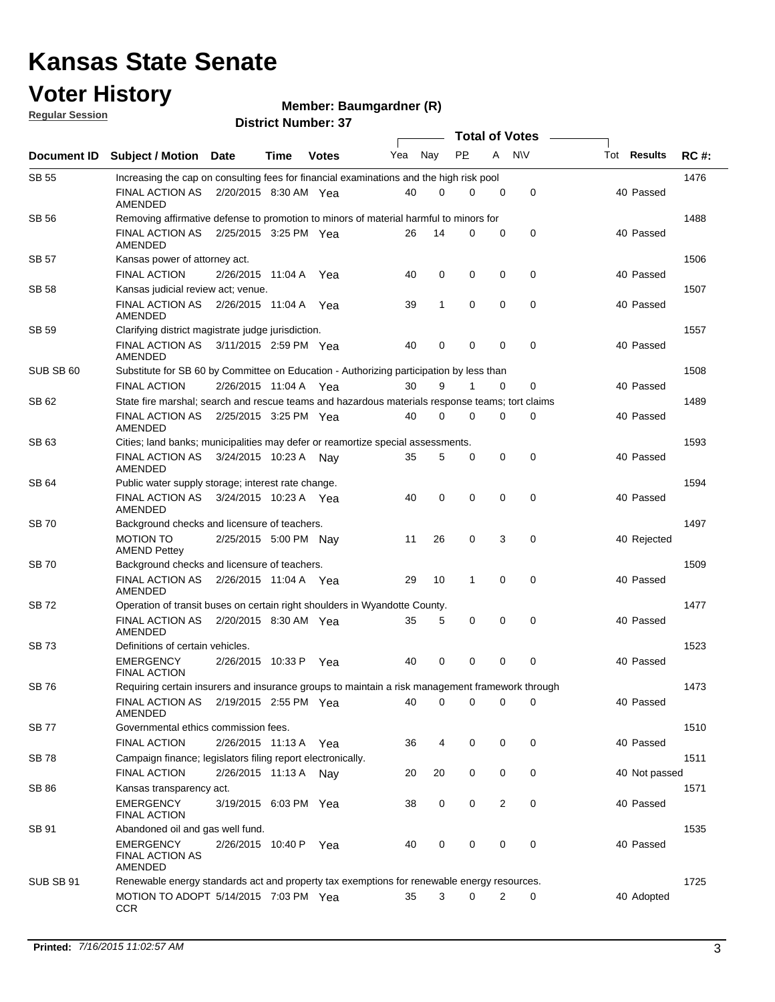### **Voter History**

**Regular Session**

#### **Member: Baumgardner (R)**

|              | <b>Total of Votes</b>                                                                           |                       |      |              |     |             |              |             |             |               |             |
|--------------|-------------------------------------------------------------------------------------------------|-----------------------|------|--------------|-----|-------------|--------------|-------------|-------------|---------------|-------------|
| Document ID  | <b>Subject / Motion</b>                                                                         | <b>Date</b>           | Time | <b>Votes</b> | Yea | Nay         | <b>PP</b>    | A           | <b>NV</b>   | Tot Results   | <b>RC#:</b> |
| <b>SB 55</b> | Increasing the cap on consulting fees for financial examinations and the high risk pool         |                       |      |              |     |             |              |             |             |               | 1476        |
|              | FINAL ACTION AS<br>AMENDED                                                                      | 2/20/2015 8:30 AM Yea |      |              | 40  | 0           | 0            | 0           | 0           | 40 Passed     |             |
| SB 56        | Removing affirmative defense to promotion to minors of material harmful to minors for           |                       |      |              |     |             |              |             |             |               | 1488        |
|              | <b>FINAL ACTION AS</b><br>AMENDED                                                               | 2/25/2015 3:25 PM Yea |      |              | 26  | 14          | $\Omega$     | 0           | 0           | 40 Passed     |             |
| SB 57        | Kansas power of attorney act.                                                                   |                       |      |              |     |             |              |             |             |               | 1506        |
|              | <b>FINAL ACTION</b>                                                                             | 2/26/2015 11:04 A     |      | Yea          | 40  | $\mathbf 0$ | 0            | 0           | $\mathbf 0$ | 40 Passed     |             |
| SB 58        | Kansas judicial review act; venue.                                                              |                       |      |              |     |             |              |             |             |               | 1507        |
|              | <b>FINAL ACTION AS</b><br>AMENDED                                                               | 2/26/2015 11:04 A Yea |      |              | 39  | 1           | 0            | $\mathbf 0$ | $\mathbf 0$ | 40 Passed     |             |
| <b>SB 59</b> | Clarifying district magistrate judge jurisdiction.                                              |                       |      |              |     |             |              |             |             |               | 1557        |
|              | <b>FINAL ACTION AS</b><br>AMENDED                                                               | 3/11/2015 2:59 PM Yea |      |              | 40  | 0           | 0            | $\mathbf 0$ | 0           | 40 Passed     |             |
| SUB SB 60    | Substitute for SB 60 by Committee on Education - Authorizing participation by less than         |                       |      |              |     |             |              |             |             |               | 1508        |
|              | <b>FINAL ACTION</b>                                                                             | 2/26/2015 11:04 A Yea |      |              | 30  | 9           | 1            | $\mathbf 0$ | 0           | 40 Passed     |             |
| SB 62        | State fire marshal; search and rescue teams and hazardous materials response teams; tort claims |                       |      |              |     |             |              |             |             |               | 1489        |
|              | <b>FINAL ACTION AS</b><br><b>AMENDED</b>                                                        | 2/25/2015 3:25 PM Yea |      |              | 40  | 0           | $\mathbf 0$  | 0           | 0           | 40 Passed     |             |
| SB 63        | Cities; land banks; municipalities may defer or reamortize special assessments.                 |                       |      |              |     |             |              |             |             |               | 1593        |
|              | <b>FINAL ACTION AS</b><br><b>AMENDED</b>                                                        | 3/24/2015 10:23 A Nav |      |              | 35  | 5           | 0            | 0           | $\mathbf 0$ | 40 Passed     |             |
| SB 64        | Public water supply storage; interest rate change.                                              |                       |      |              |     |             |              |             |             |               | 1594        |
|              | <b>FINAL ACTION AS</b><br>AMENDED                                                               | 3/24/2015 10:23 A Yea |      |              | 40  | $\mathbf 0$ | 0            | $\mathbf 0$ | $\mathbf 0$ | 40 Passed     |             |
| <b>SB70</b>  | Background checks and licensure of teachers.                                                    |                       |      |              |     |             |              |             |             |               | 1497        |
|              | <b>MOTION TO</b><br><b>AMEND Pettey</b>                                                         | 2/25/2015 5:00 PM Nav |      |              | 11  | 26          | 0            | 3           | 0           | 40 Rejected   |             |
| <b>SB70</b>  | Background checks and licensure of teachers.                                                    |                       |      |              |     |             |              |             |             |               | 1509        |
|              | FINAL ACTION AS<br>AMENDED                                                                      | 2/26/2015 11:04 A Yea |      |              | 29  | 10          | $\mathbf{1}$ | $\mathbf 0$ | $\mathbf 0$ | 40 Passed     |             |
| SB 72        | Operation of transit buses on certain right shoulders in Wyandotte County.                      |                       |      |              |     |             |              |             |             |               | 1477        |
|              | <b>FINAL ACTION AS</b><br>AMENDED                                                               | 2/20/2015 8:30 AM Yea |      |              | 35  | 5           | 0            | $\mathbf 0$ | 0           | 40 Passed     |             |
| <b>SB73</b>  | Definitions of certain vehicles.                                                                |                       |      |              |     |             |              |             |             |               | 1523        |
|              | <b>EMERGENCY</b><br><b>FINAL ACTION</b>                                                         | 2/26/2015 10:33 P     |      | Yea          | 40  | 0           | 0            | 0           | 0           | 40 Passed     |             |
| <b>SB76</b>  | Requiring certain insurers and insurance groups to maintain a risk management framework through |                       |      |              |     |             |              |             |             |               | 1473        |
|              | FINAL ACTION AS  2/19/2015  2:55 PM  Yea<br>AMENDED                                             |                       |      |              | 40  | 0           | 0            | 0           | 0           | 40 Passed     |             |
| <b>SB77</b>  | Governmental ethics commission fees.                                                            |                       |      |              |     |             |              |             |             |               | 1510        |
|              | <b>FINAL ACTION</b>                                                                             | 2/26/2015 11:13 A Yea |      |              | 36  | 4           | 0            | 0           | 0           | 40 Passed     |             |
| <b>SB78</b>  | Campaign finance; legislators filing report electronically.                                     |                       |      |              |     |             |              |             |             |               | 1511        |
|              | <b>FINAL ACTION</b>                                                                             | 2/26/2015 11:13 A Nay |      |              | 20  | 20          | 0            | 0           | 0           | 40 Not passed |             |
| <b>SB 86</b> | Kansas transparency act.                                                                        |                       |      |              |     |             |              |             |             |               | 1571        |
|              | <b>EMERGENCY</b><br>FINAL ACTION                                                                | 3/19/2015 6:03 PM Yea |      |              | 38  | 0           | 0            | 2           | 0           | 40 Passed     |             |
| SB 91        | Abandoned oil and gas well fund.                                                                |                       |      |              |     |             |              |             |             |               | 1535        |
|              | <b>EMERGENCY</b><br><b>FINAL ACTION AS</b><br>AMENDED                                           | 2/26/2015 10:40 P Yea |      |              | 40  | 0           | 0            | 0           | 0           | 40 Passed     |             |
| SUB SB 91    | Renewable energy standards act and property tax exemptions for renewable energy resources.      |                       |      |              |     |             |              |             |             |               | 1725        |
|              | MOTION TO ADOPT 5/14/2015 7:03 PM Yea<br><b>CCR</b>                                             |                       |      |              | 35  | 3           | 0            | 2           | 0           | 40 Adopted    |             |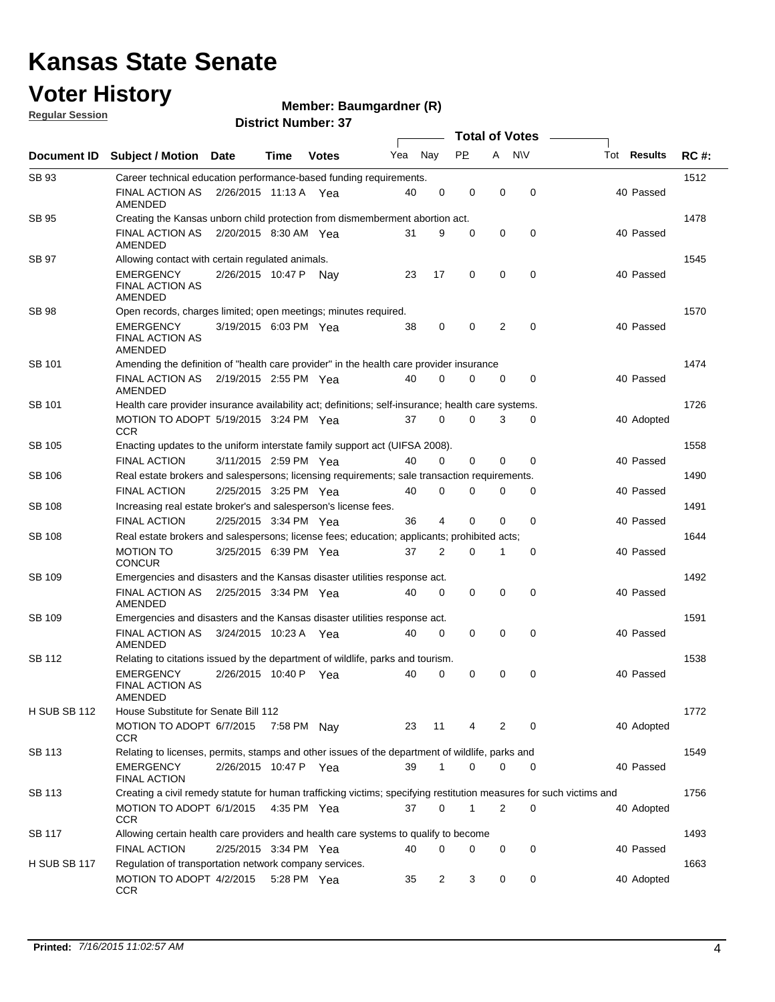### **Voter History**

**Regular Session**

#### **Member: Baumgardner (R)**

|                     | <b>Total of Votes</b>                                                                                               |                       |             |              |     |                |             |             |             |                    |             |
|---------------------|---------------------------------------------------------------------------------------------------------------------|-----------------------|-------------|--------------|-----|----------------|-------------|-------------|-------------|--------------------|-------------|
| Document ID         | <b>Subject / Motion</b>                                                                                             | Date                  | Time        | <b>Votes</b> | Yea | Nay            | <b>PP</b>   | A NW        |             | Tot <b>Results</b> | <b>RC#:</b> |
| SB 93               | Career technical education performance-based funding requirements.                                                  |                       |             |              |     |                |             |             |             |                    | 1512        |
|                     | FINAL ACTION AS<br>AMENDED                                                                                          | 2/26/2015 11:13 A Yea |             |              | 40  | 0              | 0           | $\mathbf 0$ | $\mathbf 0$ | 40 Passed          |             |
| <b>SB 95</b>        | Creating the Kansas unborn child protection from dismemberment abortion act.                                        |                       |             |              |     |                |             |             |             |                    | 1478        |
|                     | <b>FINAL ACTION AS</b><br>AMENDED                                                                                   | 2/20/2015 8:30 AM Yea |             |              | 31  | 9              | 0           | 0           | $\mathbf 0$ | 40 Passed          |             |
| SB 97               | Allowing contact with certain regulated animals.                                                                    |                       |             |              |     |                |             |             |             |                    | 1545        |
|                     | <b>EMERGENCY</b><br><b>FINAL ACTION AS</b><br>AMENDED                                                               | 2/26/2015 10:47 P Nay |             |              | 23  | 17             | 0           | 0           | 0           | 40 Passed          |             |
| <b>SB 98</b>        | Open records, charges limited; open meetings; minutes required.                                                     |                       |             |              |     |                |             |             |             |                    | 1570        |
|                     | EMERGENCY<br><b>FINAL ACTION AS</b><br>AMENDED                                                                      | 3/19/2015 6:03 PM Yea |             |              | 38  | 0              | 0           | 2           | $\mathbf 0$ | 40 Passed          |             |
| SB 101              | Amending the definition of "health care provider" in the health care provider insurance                             |                       |             |              |     |                |             |             |             |                    | 1474        |
|                     | FINAL ACTION AS 2/19/2015 2:55 PM Yea<br><b>AMENDED</b>                                                             |                       |             |              | 40  | $\Omega$       | $\Omega$    | 0           | $\mathbf 0$ | 40 Passed          |             |
| SB 101              | Health care provider insurance availability act; definitions; self-insurance; health care systems.                  |                       |             |              |     |                |             |             |             |                    | 1726        |
|                     | MOTION TO ADOPT 5/19/2015 3:24 PM Yea<br>CCR                                                                        |                       |             |              | 37  | $\mathbf 0$    | 0           | 3           | 0           | 40 Adopted         |             |
| SB 105              | Enacting updates to the uniform interstate family support act (UIFSA 2008).                                         |                       |             |              |     |                |             |             |             |                    | 1558        |
|                     | <b>FINAL ACTION</b>                                                                                                 | 3/11/2015 2:59 PM Yea |             |              | 40  | $\Omega$       | 0           | 0           | $\mathbf 0$ | 40 Passed          |             |
| SB 106              | Real estate brokers and salespersons; licensing requirements; sale transaction requirements.                        |                       |             |              |     |                |             |             |             |                    | 1490        |
|                     | <b>FINAL ACTION</b>                                                                                                 | 2/25/2015 3:25 PM Yea |             |              | 40  | 0              | 0           | 0           | 0           | 40 Passed          |             |
| <b>SB 108</b>       | Increasing real estate broker's and salesperson's license fees.                                                     |                       |             |              |     |                |             |             |             |                    | 1491        |
|                     | <b>FINAL ACTION</b>                                                                                                 | 2/25/2015 3:34 PM Yea |             |              | 36  | 4              | 0           | 0           | $\mathbf 0$ | 40 Passed          |             |
| SB 108              | Real estate brokers and salespersons; license fees; education; applicants; prohibited acts;                         |                       |             |              |     |                |             |             |             |                    | 1644        |
|                     | <b>MOTION TO</b><br><b>CONCUR</b>                                                                                   | 3/25/2015 6:39 PM Yea |             |              | 37  | 2              | 0           | 1           | 0           | 40 Passed          |             |
| SB 109              | Emergencies and disasters and the Kansas disaster utilities response act.                                           |                       |             |              |     |                |             |             |             |                    | 1492        |
|                     | FINAL ACTION AS 2/25/2015 3:34 PM Yea<br>AMENDED                                                                    |                       |             |              | 40  | 0              | $\mathbf 0$ | $\mathbf 0$ | $\mathbf 0$ | 40 Passed          |             |
| SB 109              | Emergencies and disasters and the Kansas disaster utilities response act.                                           |                       |             |              |     |                |             |             |             |                    | 1591        |
|                     | FINAL ACTION AS<br>AMENDED                                                                                          | 3/24/2015 10:23 A Yea |             |              | 40  | 0              | 0           | $\mathbf 0$ | $\mathbf 0$ | 40 Passed          |             |
| <b>SB 112</b>       | Relating to citations issued by the department of wildlife, parks and tourism.                                      |                       |             |              |     |                |             |             |             |                    | 1538        |
|                     | <b>EMERGENCY</b><br><b>FINAL ACTION AS</b><br>AMENDED                                                               | 2/26/2015 10:40 P     |             | Yea          | 40  | 0              | 0           | 0           | 0           | 40 Passed          |             |
| H SUB SB 112        | House Substitute for Senate Bill 112                                                                                |                       |             |              |     |                |             |             |             |                    | 1772        |
|                     | MOTION TO ADOPT 6/7/2015<br><b>CCR</b>                                                                              |                       | 7:58 PM Nay |              | 23  | 11             | 4           | 2           | 0           | 40 Adopted         |             |
| SB 113              | Relating to licenses, permits, stamps and other issues of the department of wildlife, parks and                     |                       |             |              |     |                |             |             |             |                    | 1549        |
|                     | <b>EMERGENCY</b><br><b>FINAL ACTION</b>                                                                             | 2/26/2015 10:47 P Yea |             |              | 39  | $\mathbf{1}$   | 0           | 0           | 0           | 40 Passed          |             |
| SB 113              | Creating a civil remedy statute for human trafficking victims; specifying restitution measures for such victims and |                       |             |              |     |                |             |             |             |                    | 1756        |
|                     | MOTION TO ADOPT 6/1/2015 4:35 PM Yea<br>CCR                                                                         |                       |             |              | 37  | 0              | 1           | 2           | 0           | 40 Adopted         |             |
| <b>SB 117</b>       | Allowing certain health care providers and health care systems to qualify to become                                 |                       |             |              |     |                |             |             |             |                    | 1493        |
|                     | FINAL ACTION                                                                                                        | 2/25/2015 3:34 PM Yea |             |              | 40  | 0              | 0           | 0           | 0           | 40 Passed          |             |
| <b>H SUB SB 117</b> | Regulation of transportation network company services.                                                              |                       |             |              |     |                |             |             |             |                    | 1663        |
|                     | MOTION TO ADOPT 4/2/2015 5:28 PM Yea<br><b>CCR</b>                                                                  |                       |             |              | 35  | $\overline{2}$ | 3           | 0           | 0           | 40 Adopted         |             |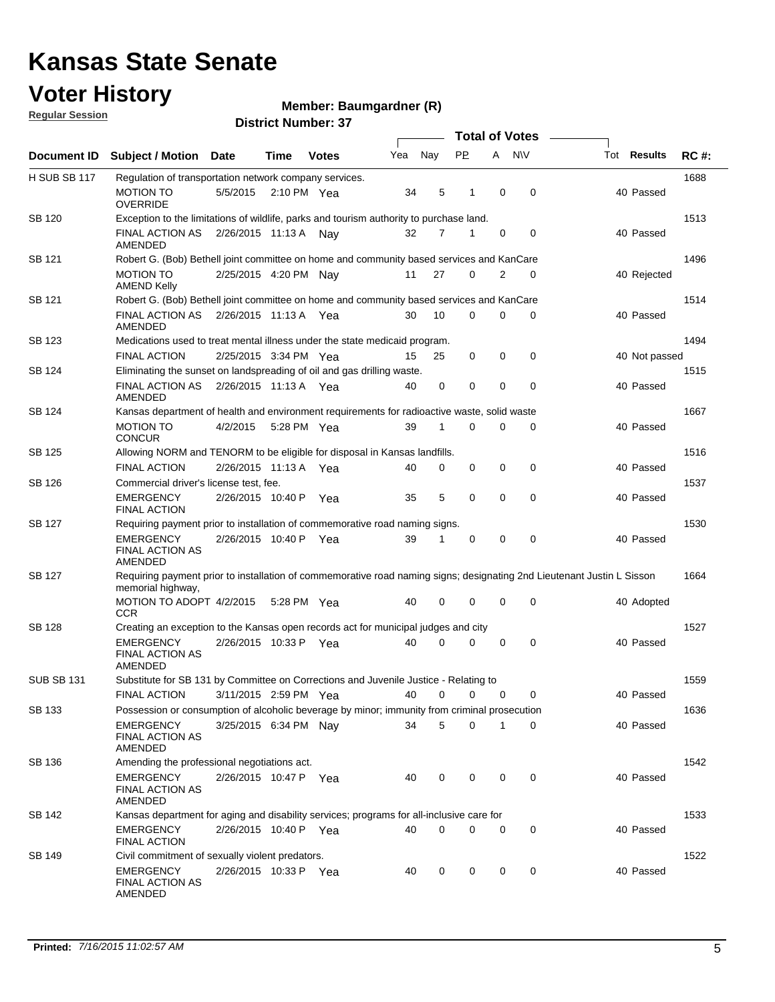### **Voter History**

**Regular Session**

#### **Member: Baumgardner (R)**

|                   |                                                                                                                                             | <b>Total of Votes</b> |                       |                       |     |     |             |             |              |  |                    |             |
|-------------------|---------------------------------------------------------------------------------------------------------------------------------------------|-----------------------|-----------------------|-----------------------|-----|-----|-------------|-------------|--------------|--|--------------------|-------------|
| Document ID       | <b>Subject / Motion Date</b>                                                                                                                |                       | Time                  | <b>Votes</b>          | Yea | Nay | <b>PP</b>   |             | A NW         |  | Tot <b>Results</b> | <b>RC#:</b> |
| H SUB SB 117      | Regulation of transportation network company services.                                                                                      |                       |                       |                       |     |     |             |             |              |  |                    | 1688        |
|                   | <b>MOTION TO</b><br><b>OVERRIDE</b>                                                                                                         | 5/5/2015              | $2:10 \text{ PM}$ Yea |                       | 34  | 5   | 1           | $\mathbf 0$ | 0            |  | 40 Passed          |             |
| SB 120            | Exception to the limitations of wildlife, parks and tourism authority to purchase land.                                                     |                       |                       |                       |     |     |             |             |              |  |                    | 1513        |
|                   | FINAL ACTION AS<br>AMENDED                                                                                                                  | 2/26/2015 11:13 A Nay |                       |                       | 32  | 7   | 1           | 0           | 0            |  | 40 Passed          |             |
| SB 121            | Robert G. (Bob) Bethell joint committee on home and community based services and KanCare                                                    |                       |                       |                       |     |     |             |             |              |  |                    | 1496        |
|                   | <b>MOTION TO</b><br><b>AMEND Kelly</b>                                                                                                      | 2/25/2015 4:20 PM Nay |                       |                       | 11  | 27  | $\Omega$    | 2           | $\mathbf 0$  |  | 40 Rejected        |             |
| SB 121            | Robert G. (Bob) Bethell joint committee on home and community based services and KanCare                                                    |                       |                       |                       |     |     |             |             |              |  |                    | 1514        |
|                   | FINAL ACTION AS<br>AMENDED                                                                                                                  | 2/26/2015 11:13 A Yea |                       |                       | 30  | 10  | $\mathbf 0$ | 0           | 0            |  | 40 Passed          |             |
| SB 123            | Medications used to treat mental illness under the state medicaid program.                                                                  |                       |                       |                       |     |     |             |             |              |  |                    | 1494        |
|                   | <b>FINAL ACTION</b>                                                                                                                         | 2/25/2015 3:34 PM Yea |                       |                       | 15  | 25  | 0           | 0           | 0            |  | 40 Not passed      |             |
| SB 124            | Eliminating the sunset on landspreading of oil and gas drilling waste.                                                                      |                       |                       |                       |     |     |             |             |              |  |                    | 1515        |
|                   | <b>FINAL ACTION AS</b><br><b>AMENDED</b>                                                                                                    | 2/26/2015 11:13 A Yea |                       |                       | 40  | 0   | 0           | $\mathbf 0$ | 0            |  | 40 Passed          |             |
| SB 124            | Kansas department of health and environment requirements for radioactive waste, solid waste                                                 |                       |                       |                       |     |     |             |             |              |  |                    | 1667        |
|                   | <b>MOTION TO</b><br><b>CONCUR</b>                                                                                                           | 4/2/2015              | 5:28 PM Yea           |                       | 39  | 1   | $\Omega$    | $\Omega$    | 0            |  | 40 Passed          |             |
| SB 125            | Allowing NORM and TENORM to be eligible for disposal in Kansas landfills.                                                                   |                       |                       |                       |     |     |             |             |              |  |                    | 1516        |
|                   | <b>FINAL ACTION</b>                                                                                                                         | 2/26/2015 11:13 A     |                       | Yea                   | 40  | 0   | 0           | 0           | 0            |  | 40 Passed          |             |
| SB 126            | Commercial driver's license test, fee.                                                                                                      |                       |                       |                       |     |     |             |             |              |  |                    | 1537        |
|                   | <b>EMERGENCY</b><br><b>FINAL ACTION</b>                                                                                                     | 2/26/2015 10:40 P     |                       | Yea                   | 35  | 5   | 0           | 0           | $\mathbf 0$  |  | 40 Passed          |             |
| SB 127            | Requiring payment prior to installation of commemorative road naming signs.                                                                 |                       |                       |                       |     |     |             |             |              |  |                    | 1530        |
|                   | <b>EMERGENCY</b><br><b>FINAL ACTION AS</b><br>AMENDED                                                                                       | 2/26/2015 10:40 P Yea |                       |                       | 39  | 1   | 0           | 0           | $\mathbf 0$  |  | 40 Passed          |             |
| <b>SB 127</b>     | Requiring payment prior to installation of commemorative road naming signs; designating 2nd Lieutenant Justin L Sisson<br>memorial highway, |                       |                       |                       |     |     |             |             |              |  |                    | 1664        |
|                   | MOTION TO ADOPT 4/2/2015 5:28 PM Yea<br>CCR                                                                                                 |                       |                       |                       | 40  | 0   | 0           | 0           | 0            |  | 40 Adopted         |             |
| <b>SB 128</b>     | Creating an exception to the Kansas open records act for municipal judges and city                                                          |                       |                       |                       |     |     |             |             |              |  |                    | 1527        |
|                   | <b>EMERGENCY</b><br><b>FINAL ACTION AS</b><br><b>AMENDED</b>                                                                                | 2/26/2015 10:33 P     |                       | Yea                   | 40  | 0   | 0           | 0           | 0            |  | 40 Passed          |             |
| <b>SUB SB 131</b> | Substitute for SB 131 by Committee on Corrections and Juvenile Justice - Relating to                                                        |                       |                       |                       |     |     |             |             |              |  |                    | 1559        |
|                   | FINAL ACTION                                                                                                                                |                       |                       | 3/11/2015 2:59 PM Yea |     |     | 40 0 0 0    |             | $\mathbf{0}$ |  | 40 Passed          |             |
| SB 133            | Possession or consumption of alcoholic beverage by minor; immunity from criminal prosecution                                                |                       |                       |                       |     |     |             |             |              |  |                    | 1636        |
|                   | <b>EMERGENCY</b><br><b>FINAL ACTION AS</b><br>AMENDED                                                                                       | 3/25/2015 6:34 PM Nav |                       |                       | 34  | 5   | $\Omega$    | 1           | 0            |  | 40 Passed          |             |
| SB 136            | Amending the professional negotiations act.                                                                                                 |                       |                       |                       |     |     |             |             |              |  |                    | 1542        |
|                   | EMERGENCY<br>FINAL ACTION AS<br>AMENDED                                                                                                     | 2/26/2015 10:47 P Yea |                       |                       | 40  | 0   | 0           | 0           | 0            |  | 40 Passed          |             |
| SB 142            | Kansas department for aging and disability services; programs for all-inclusive care for                                                    |                       |                       |                       |     |     |             |             |              |  |                    | 1533        |
|                   | <b>EMERGENCY</b><br>FINAL ACTION                                                                                                            | 2/26/2015 10:40 P Yea |                       |                       | 40  | 0   | 0           | 0           | 0            |  | 40 Passed          |             |
| <b>SB 149</b>     | Civil commitment of sexually violent predators.                                                                                             |                       |                       |                       |     |     |             |             |              |  |                    | 1522        |
|                   | <b>EMERGENCY</b><br><b>FINAL ACTION AS</b><br>AMENDED                                                                                       | 2/26/2015 10:33 P Yea |                       |                       | 40  | 0   | $\mathbf 0$ | 0           | 0            |  | 40 Passed          |             |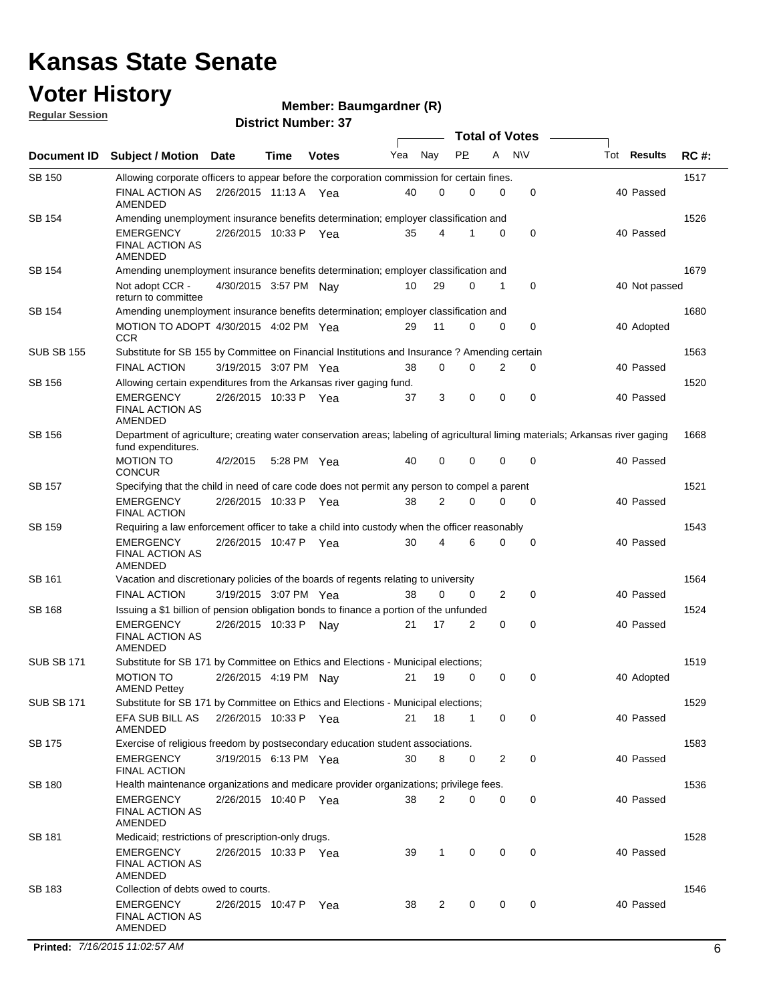### **Voter History**

**Regular Session**

#### **Member: Baumgardner (R)**

|                   |                                                                                                                                                      |                       |      |              | <b>Total of Votes</b> |                    |           |          |             |               |             |
|-------------------|------------------------------------------------------------------------------------------------------------------------------------------------------|-----------------------|------|--------------|-----------------------|--------------------|-----------|----------|-------------|---------------|-------------|
| Document ID       | <b>Subject / Motion</b>                                                                                                                              | <b>Date</b>           | Time | <b>Votes</b> | Yea                   | Nay                | <b>PP</b> | A        | <b>NV</b>   | Tot Results   | <b>RC#:</b> |
| <b>SB 150</b>     | Allowing corporate officers to appear before the corporation commission for certain fines.                                                           |                       |      |              |                       |                    |           |          |             |               | 1517        |
|                   | <b>FINAL ACTION AS</b><br>AMENDED                                                                                                                    | 2/26/2015 11:13 A Yea |      |              | 40                    | 0                  | 0         | 0        | 0           | 40 Passed     |             |
| SB 154            | Amending unemployment insurance benefits determination; employer classification and                                                                  |                       |      |              |                       |                    |           |          |             |               | 1526        |
|                   | <b>EMERGENCY</b><br><b>FINAL ACTION AS</b><br>AMENDED                                                                                                | 2/26/2015 10:33 P Yea |      |              | 35                    | 4                  |           | 0        | 0           | 40 Passed     |             |
| <b>SB 154</b>     | Amending unemployment insurance benefits determination; employer classification and                                                                  |                       |      |              |                       |                    |           |          |             |               | 1679        |
|                   | Not adopt CCR -<br>return to committee                                                                                                               | 4/30/2015 3:57 PM Nav |      |              | 10                    | 29                 | 0         | 1        | 0           | 40 Not passed |             |
| SB 154            | Amending unemployment insurance benefits determination; employer classification and                                                                  |                       |      |              |                       |                    |           |          |             |               | 1680        |
|                   | MOTION TO ADOPT 4/30/2015 4:02 PM Yea<br><b>CCR</b>                                                                                                  |                       |      |              | 29                    | 11                 | 0         | 0        | 0           | 40 Adopted    |             |
| <b>SUB SB 155</b> | Substitute for SB 155 by Committee on Financial Institutions and Insurance? Amending certain                                                         |                       |      |              |                       |                    |           |          |             |               | 1563        |
|                   | <b>FINAL ACTION</b>                                                                                                                                  | 3/19/2015 3:07 PM Yea |      |              | 38                    | $\mathbf 0$        | 0         | 2        | 0           | 40 Passed     |             |
| SB 156            | Allowing certain expenditures from the Arkansas river gaging fund.                                                                                   |                       |      |              |                       |                    |           |          |             |               | 1520        |
|                   | <b>EMERGENCY</b><br><b>FINAL ACTION AS</b><br><b>AMENDED</b>                                                                                         | 2/26/2015 10:33 P Yea |      |              | 37                    | 3                  | 0         | 0        | 0           | 40 Passed     |             |
| SB 156            | Department of agriculture; creating water conservation areas; labeling of agricultural liming materials; Arkansas river gaging<br>fund expenditures. |                       |      |              |                       |                    |           |          |             |               | 1668        |
|                   | <b>MOTION TO</b><br><b>CONCUR</b>                                                                                                                    | 4/2/2015              |      | 5:28 PM Yea  | 40                    | 0                  | 0         | 0        | $\mathbf 0$ | 40 Passed     |             |
| SB 157            | Specifying that the child in need of care code does not permit any person to compel a parent                                                         |                       |      |              |                       |                    |           |          |             |               | 1521        |
|                   | <b>EMERGENCY</b><br><b>FINAL ACTION</b>                                                                                                              | 2/26/2015 10:33 P Yea |      |              | 38                    | 2                  | 0         | $\Omega$ | $\mathbf 0$ | 40 Passed     |             |
| SB 159            | Requiring a law enforcement officer to take a child into custody when the officer reasonably                                                         |                       |      |              |                       |                    |           |          |             |               | 1543        |
|                   | <b>EMERGENCY</b><br><b>FINAL ACTION AS</b><br>AMENDED                                                                                                | 2/26/2015 10:47 P     |      | Yea          | 30                    | 4                  | 6         | 0        | 0           | 40 Passed     |             |
| SB 161            | Vacation and discretionary policies of the boards of regents relating to university                                                                  |                       |      |              |                       |                    |           |          |             |               | 1564        |
|                   | <b>FINAL ACTION</b>                                                                                                                                  | 3/19/2015 3:07 PM Yea |      |              | 38                    | $\mathbf 0$        | 0         | 2        | 0           | 40 Passed     |             |
| SB 168            | Issuing a \$1 billion of pension obligation bonds to finance a portion of the unfunded                                                               |                       |      |              |                       |                    |           |          |             |               | 1524        |
|                   | <b>EMERGENCY</b><br><b>FINAL ACTION AS</b><br>AMENDED                                                                                                | 2/26/2015 10:33 P     |      | Nav          | 21                    | 17                 | 2         | 0        | 0           | 40 Passed     |             |
| <b>SUB SB 171</b> | Substitute for SB 171 by Committee on Ethics and Elections - Municipal elections;                                                                    |                       |      |              |                       |                    |           |          |             |               | 1519        |
|                   | <b>MOTION TO</b><br><b>AMEND Pettey</b>                                                                                                              | 2/26/2015 4:19 PM Nay |      |              | 21                    | 19                 | 0         | 0        | 0           | 40 Adopted    |             |
| <b>SUB SB 171</b> | Substitute for SB 171 by Committee on Ethics and Elections - Municipal elections;                                                                    |                       |      |              |                       |                    |           |          |             |               | 1529        |
|                   | EFA SUB BILL AS<br>AMENDED                                                                                                                           | 2/26/2015 10:33 P Yea |      |              | 21                    | 18                 | 1         | 0        | 0           | 40 Passed     |             |
| <b>SB 175</b>     | Exercise of religious freedom by postsecondary education student associations.                                                                       |                       |      |              |                       |                    |           |          |             |               | 1583        |
|                   | EMERGENCY<br><b>FINAL ACTION</b>                                                                                                                     | 3/19/2015 6:13 PM Yea |      |              | 30                    | 8                  | 0         | 2        | 0           | 40 Passed     |             |
| <b>SB 180</b>     | Health maintenance organizations and medicare provider organizations; privilege fees.                                                                |                       |      |              |                       |                    |           |          |             |               | 1536        |
|                   | <b>EMERGENCY</b><br><b>FINAL ACTION AS</b><br>AMENDED                                                                                                | 2/26/2015 10:40 P Yea |      |              | 38                    | 2                  | 0         | 0        | 0           | 40 Passed     |             |
| SB 181            | Medicaid; restrictions of prescription-only drugs.                                                                                                   |                       |      |              |                       |                    |           |          |             |               | 1528        |
|                   | <b>EMERGENCY</b><br><b>FINAL ACTION AS</b><br>AMENDED                                                                                                | 2/26/2015 10:33 P Yea |      |              |                       | 39<br>$\mathbf{1}$ | 0         | 0        | 0           | 40 Passed     |             |
| SB 183            | Collection of debts owed to courts.                                                                                                                  |                       |      |              |                       |                    |           |          |             |               | 1546        |
|                   | <b>EMERGENCY</b><br><b>FINAL ACTION AS</b><br>AMENDED                                                                                                | 2/26/2015 10:47 P Yea |      |              |                       | 2<br>38            | 0         | 0        | 0           | 40 Passed     |             |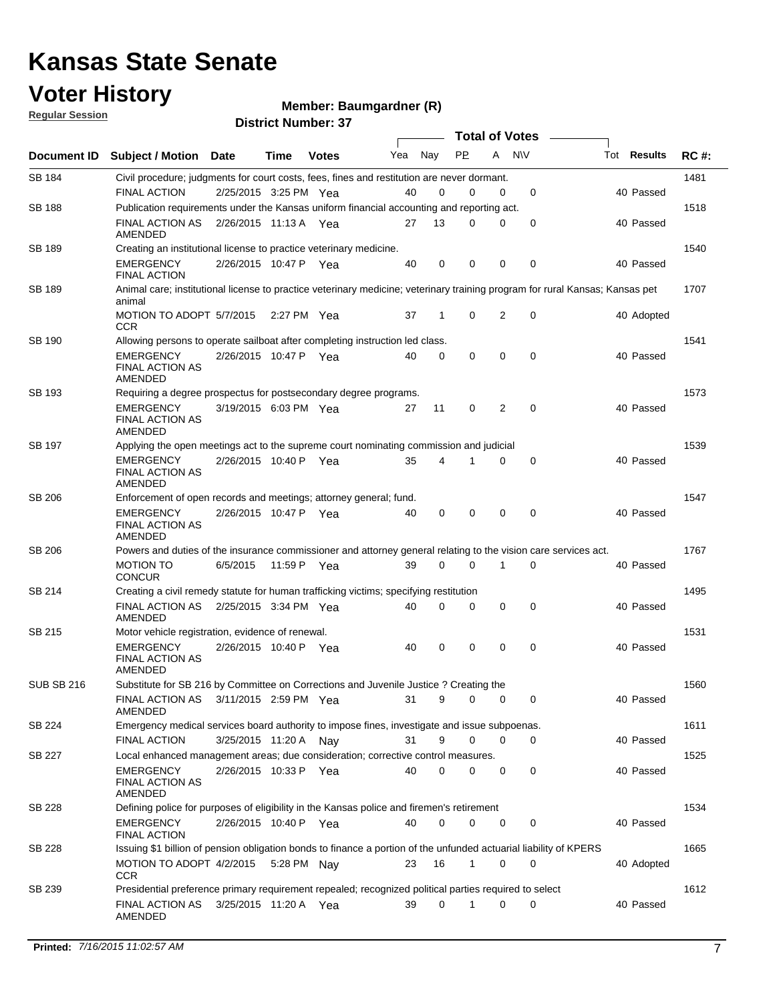#### **Voter History Regular Session**

**Member: Baumgardner (R)** 

| <u>noquial oceanuli</u> | <b>District Number: 37</b>                                                                                                             |                       |             |              |     |              |              |   |                       |  |                    |             |
|-------------------------|----------------------------------------------------------------------------------------------------------------------------------------|-----------------------|-------------|--------------|-----|--------------|--------------|---|-----------------------|--|--------------------|-------------|
|                         |                                                                                                                                        |                       |             |              |     |              |              |   | <b>Total of Votes</b> |  |                    |             |
| Document ID             | <b>Subject / Motion Date</b>                                                                                                           |                       | Time        | <b>Votes</b> | Yea | Nay          | <b>PP</b>    | A | N\V                   |  | Tot <b>Results</b> | <b>RC#:</b> |
| <b>SB 184</b>           | Civil procedure; judgments for court costs, fees, fines and restitution are never dormant.                                             |                       |             |              |     |              |              |   |                       |  |                    | 1481        |
|                         | <b>FINAL ACTION</b>                                                                                                                    | 2/25/2015 3:25 PM Yea |             |              | 40  | 0            | 0            | 0 | 0                     |  | 40 Passed          |             |
| <b>SB 188</b>           | Publication requirements under the Kansas uniform financial accounting and reporting act.                                              |                       |             |              |     |              |              |   |                       |  |                    | 1518        |
|                         | <b>FINAL ACTION AS</b><br>AMENDED                                                                                                      | 2/26/2015 11:13 A Yea |             |              | 27  | 13           | 0            | 0 | 0                     |  | 40 Passed          |             |
| SB 189                  | Creating an institutional license to practice veterinary medicine.                                                                     |                       |             |              |     |              |              |   |                       |  |                    | 1540        |
|                         | <b>EMERGENCY</b><br><b>FINAL ACTION</b>                                                                                                | 2/26/2015 10:47 P Yea |             |              | 40  | 0            | 0            | 0 | 0                     |  | 40 Passed          |             |
| <b>SB 189</b>           | Animal care; institutional license to practice veterinary medicine; veterinary training program for rural Kansas; Kansas pet<br>animal |                       |             |              |     |              |              |   |                       |  |                    | 1707        |
|                         | MOTION TO ADOPT 5/7/2015<br><b>CCR</b>                                                                                                 |                       | 2:27 PM Yea |              | 37  | $\mathbf{1}$ | 0            | 2 | 0                     |  | 40 Adopted         |             |
| <b>SB 190</b>           | Allowing persons to operate sailboat after completing instruction led class.                                                           |                       |             |              |     |              |              |   |                       |  |                    | 1541        |
|                         | <b>EMERGENCY</b><br><b>FINAL ACTION AS</b><br><b>AMENDED</b>                                                                           | 2/26/2015 10:47 P Yea |             |              | 40  | 0            | 0            | 0 | $\mathbf 0$           |  | 40 Passed          |             |
| SB 193                  | Requiring a degree prospectus for postsecondary degree programs.                                                                       |                       |             |              |     |              |              |   |                       |  |                    | 1573        |
|                         | <b>EMERGENCY</b><br><b>FINAL ACTION AS</b><br><b>AMENDED</b>                                                                           | 3/19/2015 6:03 PM Yea |             |              | 27  | 11           | 0            | 2 | 0                     |  | 40 Passed          |             |
| <b>SB 197</b>           | Applying the open meetings act to the supreme court nominating commission and judicial                                                 |                       |             |              |     |              |              |   |                       |  |                    | 1539        |
|                         | <b>EMERGENCY</b><br><b>FINAL ACTION AS</b><br>AMENDED                                                                                  | 2/26/2015 10:40 P Yea |             |              | 35  | 4            |              | 0 | 0                     |  | 40 Passed          |             |
| <b>SB 206</b>           | Enforcement of open records and meetings; attorney general; fund.                                                                      |                       |             |              |     |              |              |   |                       |  |                    | 1547        |
|                         | <b>EMERGENCY</b><br><b>FINAL ACTION AS</b><br>AMENDED                                                                                  | 2/26/2015 10:47 P Yea |             |              | 40  | 0            | 0            | 0 | 0                     |  | 40 Passed          |             |
| SB 206                  | Powers and duties of the insurance commissioner and attorney general relating to the vision care services act.                         |                       |             |              |     |              |              |   |                       |  |                    | 1767        |
|                         | <b>MOTION TO</b><br><b>CONCUR</b>                                                                                                      | 6/5/2015              |             | 11:59 P Yea  | 39  | $\Omega$     | 0            | 1 | $\mathbf 0$           |  | 40 Passed          |             |
| SB 214                  | Creating a civil remedy statute for human trafficking victims; specifying restitution                                                  |                       |             |              |     |              |              |   |                       |  |                    | 1495        |
|                         | <b>FINAL ACTION AS</b><br>AMENDED                                                                                                      | 2/25/2015 3:34 PM Yea |             |              | 40  | 0            | $\Omega$     | 0 | $\mathbf 0$           |  | 40 Passed          |             |
| SB 215                  | Motor vehicle registration, evidence of renewal.                                                                                       |                       |             |              |     |              |              |   |                       |  |                    | 1531        |
|                         | <b>EMERGENCY</b><br><b>FINAL ACTION AS</b><br>AMENDED                                                                                  | 2/26/2015 10:40 P Yea |             |              | 40  | 0            | 0            | 0 | 0                     |  | 40 Passed          |             |
| <b>SUB SB 216</b>       | Substitute for SB 216 by Committee on Corrections and Juvenile Justice ? Creating the                                                  |                       |             |              |     |              |              |   |                       |  |                    | 1560        |
|                         | FINAL ACTION AS 3/11/2015 2:59 PM Yea<br>AMENDED                                                                                       |                       |             |              | 31  | 9            | 0            | 0 | 0                     |  | 40 Passed          |             |
| SB 224                  | Emergency medical services board authority to impose fines, investigate and issue subpoenas.                                           |                       |             |              |     |              |              |   |                       |  |                    | 1611        |
|                         | <b>FINAL ACTION</b>                                                                                                                    | 3/25/2015 11:20 A Nay |             |              | 31  | 9            | 0            | 0 | 0                     |  | 40 Passed          |             |
| SB 227                  | Local enhanced management areas; due consideration; corrective control measures.                                                       |                       |             |              |     |              |              |   |                       |  |                    | 1525        |
|                         | <b>EMERGENCY</b><br><b>FINAL ACTION AS</b><br>AMENDED                                                                                  | 2/26/2015 10:33 P Yea |             |              | 40  | $\Omega$     | $\Omega$     | 0 | 0                     |  | 40 Passed          |             |
| SB 228                  | Defining police for purposes of eligibility in the Kansas police and firemen's retirement                                              |                       |             |              |     |              |              |   |                       |  |                    | 1534        |
|                         | <b>EMERGENCY</b><br><b>FINAL ACTION</b>                                                                                                | 2/26/2015 10:40 P Yea |             |              | 40  | 0            | 0            | 0 | 0                     |  | 40 Passed          |             |
| SB 228                  | Issuing \$1 billion of pension obligation bonds to finance a portion of the unfunded actuarial liability of KPERS                      |                       |             |              |     |              |              |   |                       |  |                    | 1665        |
|                         | MOTION TO ADOPT 4/2/2015 5:28 PM Nay<br><b>CCR</b>                                                                                     |                       |             |              | 23  | 16           | $\mathbf{1}$ | 0 | 0                     |  | 40 Adopted         |             |
| SB 239                  | Presidential preference primary requirement repealed; recognized political parties required to select                                  |                       |             |              |     |              |              |   |                       |  |                    | 1612        |
|                         | FINAL ACTION AS<br>AMENDED                                                                                                             | 3/25/2015 11:20 A Yea |             |              | 39  | 0            | 1            | 0 | 0                     |  | 40 Passed          |             |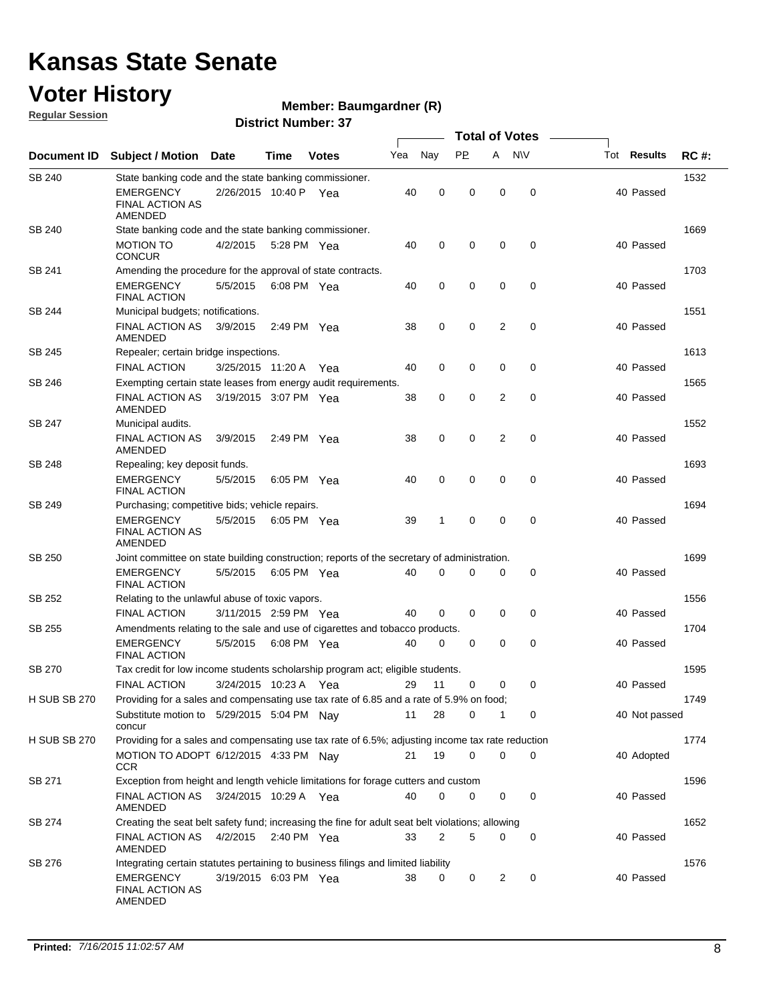### **Voter History**

**Regular Session**

#### **Member: Baumgardner (R)**

|                     | <b>Total of Votes</b>                                                                                                                           |                       |               |              |     |             |             |                |             |                    |             |
|---------------------|-------------------------------------------------------------------------------------------------------------------------------------------------|-----------------------|---------------|--------------|-----|-------------|-------------|----------------|-------------|--------------------|-------------|
| Document ID         | <b>Subject / Motion</b>                                                                                                                         | <b>Date</b>           | Time          | <b>Votes</b> | Yea | Nay         | <b>PP</b>   | A              | <b>NV</b>   | Tot <b>Results</b> | <b>RC#:</b> |
| SB 240              | State banking code and the state banking commissioner.                                                                                          |                       |               |              |     |             |             |                |             |                    | 1532        |
|                     | EMERGENCY<br><b>FINAL ACTION AS</b><br>AMENDED                                                                                                  | 2/26/2015 10:40 P Yea |               |              | 40  | $\mathbf 0$ | 0           | 0              | $\mathbf 0$ | 40 Passed          |             |
| SB 240              | State banking code and the state banking commissioner.                                                                                          |                       |               |              |     |             |             |                |             |                    | 1669        |
|                     | <b>MOTION TO</b><br><b>CONCUR</b>                                                                                                               | 4/2/2015              | 5:28 PM Yea   |              | 40  | $\mathbf 0$ | 0           | 0              | 0           | 40 Passed          |             |
| SB 241              | Amending the procedure for the approval of state contracts.                                                                                     |                       |               |              |     |             |             |                |             |                    | 1703        |
|                     | <b>EMERGENCY</b><br><b>FINAL ACTION</b>                                                                                                         | 5/5/2015              | 6:08 PM Yea   |              | 40  | $\mathbf 0$ | 0           | 0              | $\mathbf 0$ | 40 Passed          |             |
| SB 244              | Municipal budgets; notifications.                                                                                                               |                       |               |              |     |             |             |                |             |                    | 1551        |
|                     | FINAL ACTION AS<br>AMENDED                                                                                                                      | 3/9/2015              | 2:49 PM Yea   |              | 38  | 0           | 0           | 2              | 0           | 40 Passed          |             |
| SB 245              | Repealer; certain bridge inspections.                                                                                                           |                       |               |              |     |             |             |                |             |                    | 1613        |
|                     | <b>FINAL ACTION</b>                                                                                                                             | 3/25/2015 11:20 A Yea |               |              | 40  | $\mathbf 0$ | $\mathbf 0$ | 0              | 0           | 40 Passed          |             |
| SB 246              | Exempting certain state leases from energy audit requirements.                                                                                  |                       |               |              |     |             |             |                |             |                    | 1565        |
|                     | <b>FINAL ACTION AS</b><br>AMENDED                                                                                                               | 3/19/2015 3:07 PM Yea |               |              | 38  | $\mathbf 0$ | $\mathbf 0$ | 2              | 0           | 40 Passed          |             |
| SB 247              | Municipal audits.                                                                                                                               |                       |               |              |     |             |             |                |             |                    | 1552        |
|                     | <b>FINAL ACTION AS</b><br>AMENDED                                                                                                               | 3/9/2015              | 2:49 PM $Yea$ |              | 38  | $\mathbf 0$ | 0           | 2              | $\mathbf 0$ | 40 Passed          |             |
| SB 248              | Repealing; key deposit funds.                                                                                                                   |                       |               |              |     |             |             |                |             |                    | 1693        |
|                     | <b>EMERGENCY</b><br><b>FINAL ACTION</b>                                                                                                         | 5/5/2015              | 6:05 PM Yea   |              | 40  | $\mathbf 0$ | $\mathbf 0$ | 0              | $\mathbf 0$ | 40 Passed          |             |
| SB 249              | Purchasing; competitive bids; vehicle repairs.                                                                                                  |                       |               |              |     |             |             |                |             |                    | 1694        |
|                     | <b>EMERGENCY</b><br>FINAL ACTION AS<br>AMENDED                                                                                                  | 5/5/2015              | 6:05 PM Yea   |              | 39  | 1           | 0           | 0              | 0           | 40 Passed          |             |
| SB 250              | Joint committee on state building construction; reports of the secretary of administration.                                                     |                       |               |              |     |             |             |                |             |                    | 1699        |
|                     | <b>EMERGENCY</b><br><b>FINAL ACTION</b>                                                                                                         | 5/5/2015              | 6:05 PM Yea   |              | 40  | $\mathbf 0$ | 0           | 0              | 0           | 40 Passed          |             |
| SB 252              | Relating to the unlawful abuse of toxic vapors.                                                                                                 |                       |               |              |     |             |             |                |             |                    | 1556        |
|                     | <b>FINAL ACTION</b>                                                                                                                             | 3/11/2015 2:59 PM Yea |               |              | 40  | $\mathbf 0$ | 0           | 0              | 0           | 40 Passed          |             |
| SB 255              | Amendments relating to the sale and use of cigarettes and tobacco products.                                                                     |                       |               |              |     |             |             |                |             |                    | 1704        |
|                     | <b>EMERGENCY</b><br><b>FINAL ACTION</b>                                                                                                         | 5/5/2015              | 6:08 PM Yea   |              | 40  | 0           | 0           | 0              | 0           | 40 Passed          |             |
| SB 270              | Tax credit for low income students scholarship program act; eligible students.                                                                  |                       |               |              |     |             |             |                |             |                    | 1595        |
|                     | <b>FINAL ACTION</b>                                                                                                                             | 3/24/2015 10:23 A Yea |               |              | 29  | 11          | 0           | 0              | 0           | 40 Passed          |             |
| <b>H SUB SB 270</b> | Providing for a sales and compensating use tax rate of 6.85 and a rate of 5.9% on food;<br>Substitute motion to 5/29/2015 5:04 PM Nay<br>concur |                       |               |              | 11  | 28          | 0           | 1              | 0           | 40 Not passed      | 1749        |
| <b>H SUB SB 270</b> | Providing for a sales and compensating use tax rate of 6.5%; adjusting income tax rate reduction                                                |                       |               |              |     |             |             |                |             |                    | 1774        |
|                     | MOTION TO ADOPT 6/12/2015 4:33 PM Nay<br><b>CCR</b>                                                                                             |                       |               |              | 21  | 19          | 0           | 0              | 0           | 40 Adopted         |             |
| SB 271              | Exception from height and length vehicle limitations for forage cutters and custom                                                              |                       |               |              |     |             |             |                |             |                    | 1596        |
|                     | FINAL ACTION AS 3/24/2015 10:29 A Yea<br>AMENDED                                                                                                |                       |               |              | 40  | $\mathbf 0$ | 0           | 0              | 0           | 40 Passed          |             |
| SB 274              | Creating the seat belt safety fund; increasing the fine for adult seat belt violations; allowing                                                |                       |               |              |     |             |             |                |             |                    | 1652        |
|                     | FINAL ACTION AS<br>AMENDED                                                                                                                      | 4/2/2015              | 2:40 PM Yea   |              | 33  | 2           | 5           | 0              | 0           | 40 Passed          |             |
| SB 276              | Integrating certain statutes pertaining to business filings and limited liability                                                               |                       |               |              |     |             |             |                |             |                    | 1576        |
|                     | EMERGENCY<br>FINAL ACTION AS<br>AMENDED                                                                                                         | 3/19/2015 6:03 PM Yea |               |              | 38  | 0           | 0           | $\overline{2}$ | 0           | 40 Passed          |             |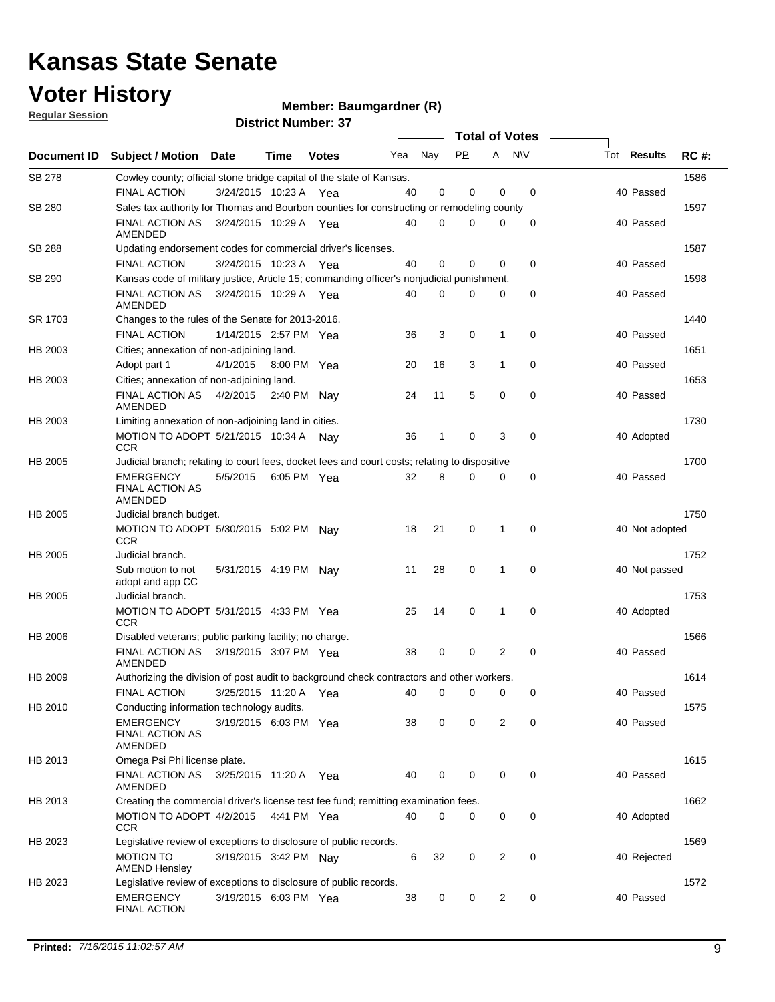### **Voter History**

**Member: Baumgardner (R)** 

**Regular Session**

|               | <b>Total of Votes</b>                                                                         |                       |      |              |     |             |             |                |             |  |                    |             |
|---------------|-----------------------------------------------------------------------------------------------|-----------------------|------|--------------|-----|-------------|-------------|----------------|-------------|--|--------------------|-------------|
| Document ID   | <b>Subject / Motion Date</b>                                                                  |                       | Time | <b>Votes</b> | Yea | Nay         | <b>PP</b>   | A              | <b>NV</b>   |  | Tot <b>Results</b> | <b>RC#:</b> |
| <b>SB 278</b> | Cowley county; official stone bridge capital of the state of Kansas.                          |                       |      |              |     |             |             |                |             |  |                    | 1586        |
|               | <b>FINAL ACTION</b>                                                                           | 3/24/2015 10:23 A     |      | Yea          | 40  | 0           | 0           | 0              | $\mathbf 0$ |  | 40 Passed          |             |
| <b>SB 280</b> | Sales tax authority for Thomas and Bourbon counties for constructing or remodeling county     |                       |      |              |     |             |             |                |             |  |                    | 1597        |
|               | <b>FINAL ACTION AS</b><br>AMENDED                                                             | 3/24/2015 10:29 A Yea |      |              | 40  | $\mathbf 0$ | 0           | 0              | 0           |  | 40 Passed          |             |
| SB 288        | Updating endorsement codes for commercial driver's licenses.                                  |                       |      |              |     |             |             |                |             |  |                    | 1587        |
|               | <b>FINAL ACTION</b>                                                                           | 3/24/2015 10:23 A Yea |      |              | 40  | 0           | 0           | 0              | 0           |  | 40 Passed          |             |
| SB 290        | Kansas code of military justice, Article 15; commanding officer's nonjudicial punishment.     |                       |      |              |     |             |             |                |             |  |                    | 1598        |
|               | <b>FINAL ACTION AS</b><br>AMENDED                                                             | 3/24/2015 10:29 A Yea |      |              | 40  | 0           | 0           | 0              | 0           |  | 40 Passed          |             |
| SR 1703       | Changes to the rules of the Senate for 2013-2016.                                             |                       |      |              |     |             |             |                |             |  |                    | 1440        |
|               | <b>FINAL ACTION</b>                                                                           | 1/14/2015 2:57 PM Yea |      |              | 36  | 3           | 0           | $\mathbf{1}$   | $\mathbf 0$ |  | 40 Passed          |             |
| HB 2003       | Cities; annexation of non-adjoining land.                                                     |                       |      |              |     |             |             |                |             |  |                    | 1651        |
|               | Adopt part 1                                                                                  | 4/1/2015              |      | 8:00 PM Yea  | 20  | 16          | 3           | $\mathbf{1}$   | $\mathbf 0$ |  | 40 Passed          |             |
| HB 2003       | Cities; annexation of non-adjoining land.                                                     |                       |      |              |     |             |             |                |             |  |                    | 1653        |
|               | FINAL ACTION AS<br><b>AMENDED</b>                                                             | 4/2/2015 2:40 PM Nay  |      |              | 24  | 11          | 5           | $\mathbf 0$    | 0           |  | 40 Passed          |             |
| HB 2003       | Limiting annexation of non-adjoining land in cities.                                          |                       |      |              |     |             |             |                |             |  |                    | 1730        |
|               | MOTION TO ADOPT 5/21/2015 10:34 A Nay<br><b>CCR</b>                                           |                       |      |              | 36  | 1           | 0           | 3              | 0           |  | 40 Adopted         |             |
| HB 2005       | Judicial branch; relating to court fees, docket fees and court costs; relating to dispositive |                       |      |              |     |             |             |                |             |  |                    | 1700        |
|               | <b>EMERGENCY</b><br><b>FINAL ACTION AS</b><br>AMENDED                                         | 5/5/2015              |      | 6:05 PM Yea  | 32  | 8           | 0           | 0              | $\mathbf 0$ |  | 40 Passed          |             |
| HB 2005       | Judicial branch budget.                                                                       |                       |      |              |     |             |             |                |             |  |                    | 1750        |
|               | MOTION TO ADOPT 5/30/2015 5:02 PM Nay<br><b>CCR</b>                                           |                       |      |              | 18  | 21          | 0           | 1              | 0           |  | 40 Not adopted     |             |
| HB 2005       | Judicial branch.                                                                              |                       |      |              |     |             |             |                |             |  |                    | 1752        |
|               | Sub motion to not<br>adopt and app CC                                                         | 5/31/2015 4:19 PM Nav |      |              | 11  | 28          | $\mathbf 0$ | 1              | $\mathbf 0$ |  | 40 Not passed      |             |
| HB 2005       | Judicial branch.                                                                              |                       |      |              |     |             |             |                |             |  |                    | 1753        |
|               | MOTION TO ADOPT 5/31/2015 4:33 PM Yea<br><b>CCR</b>                                           |                       |      |              | 25  | 14          | 0           | $\mathbf 1$    | 0           |  | 40 Adopted         |             |
| HB 2006       | Disabled veterans; public parking facility; no charge.                                        |                       |      |              |     |             |             |                |             |  |                    | 1566        |
|               | <b>FINAL ACTION AS</b><br>AMENDED                                                             | 3/19/2015 3:07 PM Yea |      |              | 38  | 0           | 0           | $\overline{2}$ | 0           |  | 40 Passed          |             |
| HB 2009       | Authorizing the division of post audit to background check contractors and other workers.     |                       |      |              |     |             |             |                |             |  |                    | 1614        |
|               | <b>FINAL ACTION</b>                                                                           | 3/25/2015 11:20 A     |      | Yea          | 40  | 0           | 0           | 0              | 0           |  | 40 Passed          |             |
| HB 2010       | Conducting information technology audits.                                                     |                       |      |              |     |             |             |                |             |  |                    | 1575        |
|               | <b>EMERGENCY</b><br><b>FINAL ACTION AS</b><br>AMENDED                                         | 3/19/2015 6:03 PM Yea |      |              | 38  | 0           | 0           | 2              | 0           |  | 40 Passed          |             |
| HB 2013       | Omega Psi Phi license plate.                                                                  |                       |      |              |     |             |             |                |             |  |                    | 1615        |
|               | FINAL ACTION AS<br>AMENDED                                                                    | 3/25/2015 11:20 A Yea |      |              | 40  | 0           | 0           | 0              | 0           |  | 40 Passed          |             |
| HB 2013       | Creating the commercial driver's license test fee fund; remitting examination fees.           |                       |      |              |     |             |             |                |             |  |                    | 1662        |
|               | MOTION TO ADOPT 4/2/2015<br><b>CCR</b>                                                        |                       |      | 4:41 PM Yea  | 40  | 0           | 0           | 0              | $\mathbf 0$ |  | 40 Adopted         |             |
| HB 2023       | Legislative review of exceptions to disclosure of public records.                             |                       |      |              |     |             |             |                |             |  |                    | 1569        |
|               | <b>MOTION TO</b><br><b>AMEND Hensley</b>                                                      | 3/19/2015 3:42 PM Nay |      |              | 6   | 32          | 0           | 2              | $\mathbf 0$ |  | 40 Rejected        |             |
| HB 2023       | Legislative review of exceptions to disclosure of public records.                             |                       |      |              |     |             |             |                |             |  |                    | 1572        |
|               | <b>EMERGENCY</b><br>FINAL ACTION                                                              | 3/19/2015 6:03 PM Yea |      |              | 38  | 0           | 0           | 2              | 0           |  | 40 Passed          |             |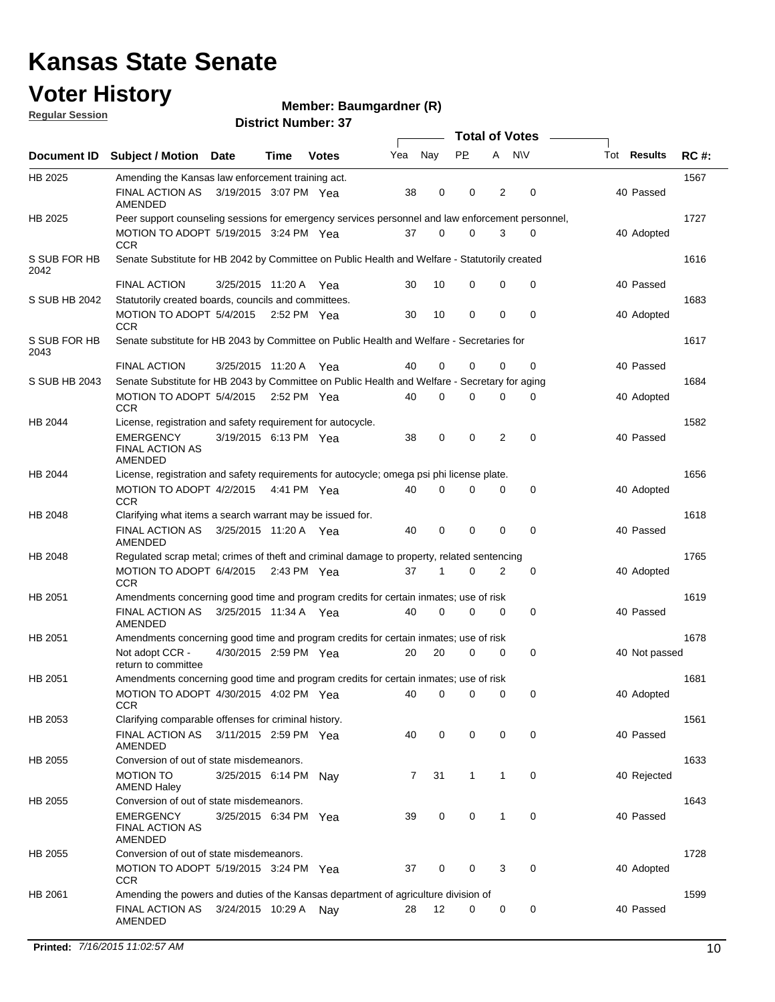#### **Voter History**

**Member: Baumgardner (R)** 

**Regular Session**

|                      |                                                                                                  |                       | <b>Total of Votes</b> |              |     |                |                |      |             |  |                    |             |
|----------------------|--------------------------------------------------------------------------------------------------|-----------------------|-----------------------|--------------|-----|----------------|----------------|------|-------------|--|--------------------|-------------|
|                      | Document ID Subject / Motion Date                                                                |                       | Time                  | <b>Votes</b> | Yea | Nay            | <b>PP</b>      | A NW |             |  | Tot <b>Results</b> | <b>RC#:</b> |
| HB 2025              | Amending the Kansas law enforcement training act.                                                |                       |                       |              |     |                |                |      |             |  |                    | 1567        |
|                      | FINAL ACTION AS<br><b>AMENDED</b>                                                                | 3/19/2015 3:07 PM Yea |                       |              | 38  | 0              | 0              | 2    | 0           |  | 40 Passed          |             |
| HB 2025              | Peer support counseling sessions for emergency services personnel and law enforcement personnel, |                       |                       |              |     |                |                |      |             |  |                    | 1727        |
|                      | MOTION TO ADOPT 5/19/2015 3:24 PM Yea<br><b>CCR</b>                                              |                       |                       |              | 37  | 0              | 0              | 3    | 0           |  | 40 Adopted         |             |
| S SUB FOR HB<br>2042 | Senate Substitute for HB 2042 by Committee on Public Health and Welfare - Statutorily created    |                       |                       |              |     |                |                |      |             |  |                    | 1616        |
|                      | <b>FINAL ACTION</b>                                                                              | 3/25/2015 11:20 A Yea |                       |              | 30  | 10             | 0              | 0    | 0           |  | 40 Passed          |             |
| S SUB HB 2042        | Statutorily created boards, councils and committees.                                             |                       |                       |              |     |                |                |      |             |  |                    | 1683        |
|                      | MOTION TO ADOPT 5/4/2015<br><b>CCR</b>                                                           |                       |                       | 2:52 PM Yea  | 30  | 10             | 0              | 0    | 0           |  | 40 Adopted         |             |
| S SUB FOR HB<br>2043 | Senate substitute for HB 2043 by Committee on Public Health and Welfare - Secretaries for        |                       |                       |              |     |                |                |      |             |  |                    | 1617        |
|                      | <b>FINAL ACTION</b>                                                                              | 3/25/2015 11:20 A Yea |                       |              | 40  | 0              | 0              | 0    | 0           |  | 40 Passed          |             |
| S SUB HB 2043        | Senate Substitute for HB 2043 by Committee on Public Health and Welfare - Secretary for aging    |                       |                       |              |     |                |                |      |             |  |                    | 1684        |
|                      | MOTION TO ADOPT 5/4/2015 2:52 PM Yea<br><b>CCR</b>                                               |                       |                       |              | 40  | 0              | 0              | 0    | 0           |  | 40 Adopted         |             |
| HB 2044              | License, registration and safety requirement for autocycle.                                      |                       |                       |              |     |                |                |      |             |  |                    | 1582        |
|                      | <b>EMERGENCY</b><br><b>FINAL ACTION AS</b><br>AMENDED                                            | 3/19/2015 6:13 PM Yea |                       |              | 38  | 0              | $\mathbf 0$    | 2    | $\mathbf 0$ |  | 40 Passed          |             |
| HB 2044              | License, registration and safety requirements for autocycle; omega psi phi license plate.        |                       |                       |              |     |                |                |      |             |  |                    | 1656        |
|                      | MOTION TO ADOPT 4/2/2015<br><b>CCR</b>                                                           |                       | 4:41 PM Yea           |              | 40  | 0              | 0              | 0    | 0           |  | 40 Adopted         |             |
| HB 2048              | Clarifying what items a search warrant may be issued for.                                        |                       |                       |              |     |                |                |      |             |  |                    | 1618        |
|                      | FINAL ACTION AS 3/25/2015 11:20 A Yea<br>AMENDED                                                 |                       |                       |              | 40  | 0              | 0              | 0    | $\mathbf 0$ |  | 40 Passed          |             |
| HB 2048              | Regulated scrap metal; crimes of theft and criminal damage to property, related sentencing       |                       |                       |              |     |                |                |      |             |  |                    | 1765        |
|                      | MOTION TO ADOPT 6/4/2015 2:43 PM Yea<br><b>CCR</b>                                               |                       |                       |              | 37  | 1              | 0              | 2    | 0           |  | 40 Adopted         |             |
| HB 2051              | Amendments concerning good time and program credits for certain inmates; use of risk             |                       |                       |              |     |                |                |      |             |  |                    | 1619        |
|                      | <b>FINAL ACTION AS</b><br>AMENDED                                                                | 3/25/2015 11:34 A Yea |                       |              | 40  | 0              | 0              | 0    | 0           |  | 40 Passed          |             |
| HB 2051              | Amendments concerning good time and program credits for certain inmates; use of risk             |                       |                       |              |     |                |                |      |             |  |                    | 1678        |
|                      | Not adopt CCR -<br>return to committee                                                           | 4/30/2015 2:59 PM Yea |                       |              | 20  | 20             | 0              | 0    | 0           |  | 40 Not passed      |             |
| HB 2051              | Amendments concerning good time and program credits for certain inmates; use of risk             |                       |                       |              |     |                |                |      |             |  |                    | 1681        |
|                      | MOTION TO ADOPT 4/30/2015 4:02 PM Yea<br><b>CCR</b>                                              |                       |                       |              | 40  | $\overline{0}$ | $\overline{0}$ | 0    | 0           |  | 40 Adopted         |             |
| HB 2053              | Clarifying comparable offenses for criminal history.                                             |                       |                       |              |     |                |                |      |             |  |                    | 1561        |
|                      | FINAL ACTION AS<br>AMENDED                                                                       | 3/11/2015 2:59 PM Yea |                       |              | 40  | 0              | 0              | 0    | 0           |  | 40 Passed          |             |
| HB 2055              | Conversion of out of state misdemeanors.                                                         |                       |                       |              |     |                |                |      |             |  |                    | 1633        |
|                      | <b>MOTION TO</b><br><b>AMEND Haley</b>                                                           | 3/25/2015 6:14 PM     |                       | Nav          | 7   | 31             | $\mathbf{1}$   | 1    | 0           |  | 40 Rejected        |             |
| HB 2055              | Conversion of out of state misdemeanors.                                                         |                       |                       |              |     |                |                |      |             |  |                    | 1643        |
|                      | <b>EMERGENCY</b><br><b>FINAL ACTION AS</b><br>AMENDED                                            | 3/25/2015 6:34 PM Yea |                       |              | 39  | 0              | 0              | 1    | 0           |  | 40 Passed          |             |
| HB 2055              | Conversion of out of state misdemeanors.                                                         |                       |                       |              |     |                |                |      |             |  |                    | 1728        |
|                      | MOTION TO ADOPT 5/19/2015 3:24 PM Yea<br><b>CCR</b>                                              |                       |                       |              | 37  | 0              | 0              | 3    | 0           |  | 40 Adopted         |             |
| HB 2061              | Amending the powers and duties of the Kansas department of agriculture division of               |                       |                       |              |     |                |                |      |             |  |                    | 1599        |
|                      | FINAL ACTION AS<br>AMENDED                                                                       | 3/24/2015 10:29 A Nay |                       |              | 28  | 12             | 0              | 0    | 0           |  | 40 Passed          |             |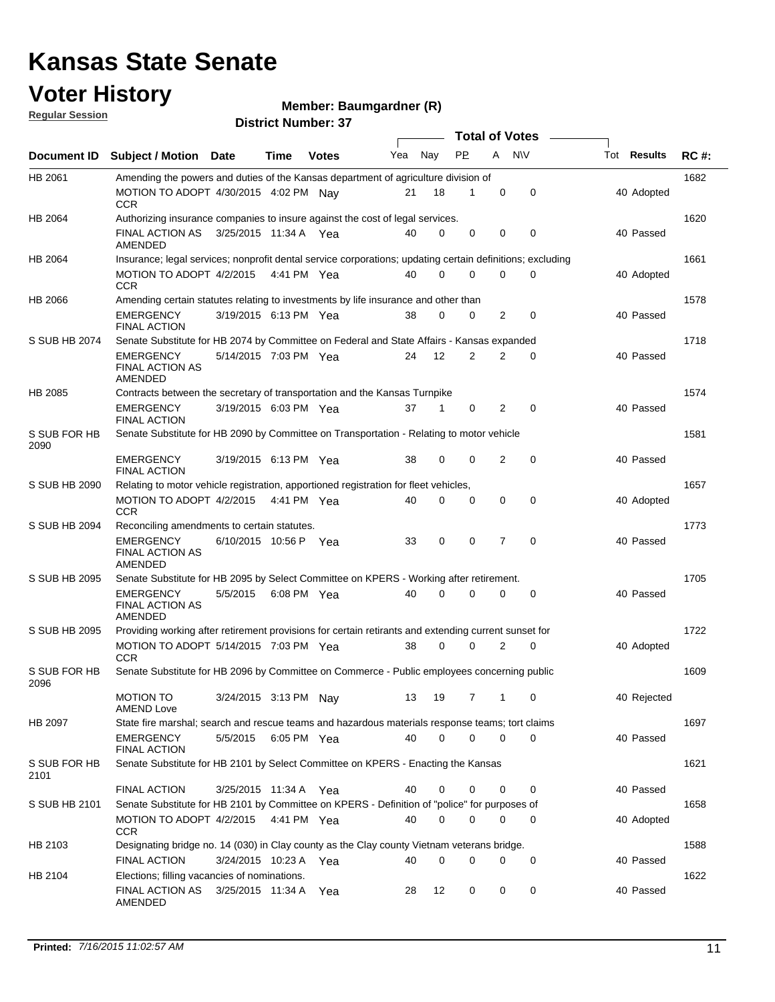### **Voter History**

**Member: Baumgardner (R)** 

**Regular Session**

|                      | <b>Total of Votes</b>                                                                                     |                       |             |              |     |          |             |                |             |  |             |             |
|----------------------|-----------------------------------------------------------------------------------------------------------|-----------------------|-------------|--------------|-----|----------|-------------|----------------|-------------|--|-------------|-------------|
| Document ID          | Subject / Motion Date                                                                                     |                       | Time        | <b>Votes</b> | Yea | Nay      | PP.         | Α              | <b>NV</b>   |  | Tot Results | <b>RC#:</b> |
| HB 2061              | Amending the powers and duties of the Kansas department of agriculture division of                        |                       |             |              |     |          |             |                |             |  |             | 1682        |
|                      | MOTION TO ADOPT 4/30/2015 4:02 PM Nav<br>CCR.                                                             |                       |             |              | 21  | 18       | 1           | 0              | 0           |  | 40 Adopted  |             |
| <b>HB 2064</b>       | Authorizing insurance companies to insure against the cost of legal services.                             |                       |             |              |     |          |             |                |             |  |             | 1620        |
|                      | <b>FINAL ACTION AS</b><br>AMENDED                                                                         | 3/25/2015 11:34 A Yea |             |              | 40  | 0        | 0           | 0              | 0           |  | 40 Passed   |             |
| HB 2064              | Insurance; legal services; nonprofit dental service corporations; updating certain definitions; excluding |                       |             |              |     |          |             |                |             |  |             | 1661        |
|                      | MOTION TO ADOPT 4/2/2015<br>CCR                                                                           |                       | 4:41 PM Yea |              | 40  | $\Omega$ | $\Omega$    | $\Omega$       | 0           |  | 40 Adopted  |             |
| <b>HB 2066</b>       | Amending certain statutes relating to investments by life insurance and other than                        |                       |             |              |     |          |             |                |             |  |             | 1578        |
|                      | <b>EMERGENCY</b><br><b>FINAL ACTION</b>                                                                   | 3/19/2015 6:13 PM Yea |             |              | 38  | 0        | $\mathbf 0$ | 2              | 0           |  | 40 Passed   |             |
| S SUB HB 2074        | Senate Substitute for HB 2074 by Committee on Federal and State Affairs - Kansas expanded                 |                       |             |              |     |          |             |                |             |  |             | 1718        |
|                      | <b>EMERGENCY</b><br><b>FINAL ACTION AS</b><br><b>AMENDED</b>                                              | 5/14/2015 7:03 PM Yea |             |              | 24  | 12       | 2           | 2              | 0           |  | 40 Passed   |             |
| <b>HB 2085</b>       | Contracts between the secretary of transportation and the Kansas Turnpike                                 |                       |             |              |     |          |             |                |             |  |             | 1574        |
|                      | <b>EMERGENCY</b><br><b>FINAL ACTION</b>                                                                   | 3/19/2015 6:03 PM Yea |             |              | 37  | 1        | 0           | $\overline{2}$ | 0           |  | 40 Passed   |             |
| S SUB FOR HB<br>2090 | Senate Substitute for HB 2090 by Committee on Transportation - Relating to motor vehicle                  |                       |             |              |     |          |             |                |             |  |             | 1581        |
|                      | <b>EMERGENCY</b><br><b>FINAL ACTION</b>                                                                   | 3/19/2015 6:13 PM Yea |             |              | 38  | 0        | $\mathbf 0$ | $\overline{2}$ | 0           |  | 40 Passed   |             |
| S SUB HB 2090        | Relating to motor vehicle registration, apportioned registration for fleet vehicles,                      |                       |             |              |     |          |             |                |             |  |             | 1657        |
|                      | MOTION TO ADOPT 4/2/2015<br><b>CCR</b>                                                                    |                       | 4:41 PM Yea |              | 40  | $\Omega$ | $\mathbf 0$ | $\mathbf 0$    | $\mathbf 0$ |  | 40 Adopted  |             |
| S SUB HB 2094        | Reconciling amendments to certain statutes.                                                               |                       |             |              |     |          |             |                |             |  |             | 1773        |
|                      | <b>EMERGENCY</b><br><b>FINAL ACTION AS</b><br>AMENDED                                                     | 6/10/2015 10:56 P Yea |             |              | 33  | 0        | 0           | 7              | 0           |  | 40 Passed   |             |
| S SUB HB 2095        | Senate Substitute for HB 2095 by Select Committee on KPERS - Working after retirement.                    |                       |             |              |     |          |             |                |             |  |             | 1705        |
|                      | <b>EMERGENCY</b><br><b>FINAL ACTION AS</b><br>AMENDED                                                     | 5/5/2015              | 6:08 PM Yea |              | 40  | $\Omega$ | 0           | $\Omega$       | 0           |  | 40 Passed   |             |
| S SUB HB 2095        | Providing working after retirement provisions for certain retirants and extending current sunset for      |                       |             |              |     |          |             |                |             |  |             | 1722        |
|                      | MOTION TO ADOPT 5/14/2015 7:03 PM Yea<br><b>CCR</b>                                                       |                       |             |              | 38  | 0        | $\mathbf 0$ | 2              | 0           |  | 40 Adopted  |             |
| S SUB FOR HB<br>2096 | Senate Substitute for HB 2096 by Committee on Commerce - Public employees concerning public               |                       |             |              |     |          |             |                |             |  |             | 1609        |
|                      | <b>MOTION TO</b><br><b>AMEND Love</b>                                                                     | 3/24/2015 3:13 PM Nay |             |              |     |          | 13 19 7 1 0 |                |             |  | 40 Rejected |             |
| HB 2097              | State fire marshal; search and rescue teams and hazardous materials response teams; tort claims           |                       |             |              |     |          |             |                |             |  |             | 1697        |
|                      | <b>EMERGENCY</b><br>FINAL ACTION                                                                          | 5/5/2015 6:05 PM Yea  |             |              | 40  | 0        | $\Omega$    | 0              | $\mathbf 0$ |  | 40 Passed   |             |
| S SUB FOR HB<br>2101 | Senate Substitute for HB 2101 by Select Committee on KPERS - Enacting the Kansas                          |                       |             |              |     |          |             |                |             |  |             | 1621        |
|                      | FINAL ACTION                                                                                              | 3/25/2015 11:34 A Yea |             |              | 40  | 0        | 0           | 0              | 0           |  | 40 Passed   |             |
| S SUB HB 2101        | Senate Substitute for HB 2101 by Committee on KPERS - Definition of "police" for purposes of              |                       |             |              |     |          |             |                |             |  |             | 1658        |
|                      | MOTION TO ADOPT 4/2/2015 4:41 PM Yea<br><b>CCR</b>                                                        |                       |             |              | 40  | 0        | $\mathbf 0$ | 0              | 0           |  | 40 Adopted  |             |
| HB 2103              | Designating bridge no. 14 (030) in Clay county as the Clay county Vietnam veterans bridge.                |                       |             |              |     |          |             |                |             |  |             | 1588        |
|                      | <b>FINAL ACTION</b>                                                                                       | 3/24/2015 10:23 A Yea |             |              | 40  | 0        | $\mathbf 0$ | 0              | 0           |  | 40 Passed   |             |
| HB 2104              | Elections; filling vacancies of nominations.<br><b>FINAL ACTION AS</b><br>AMENDED                         | 3/25/2015 11:34 A     |             | Yea          | 28  | 12       | 0           | 0              | 0           |  | 40 Passed   | 1622        |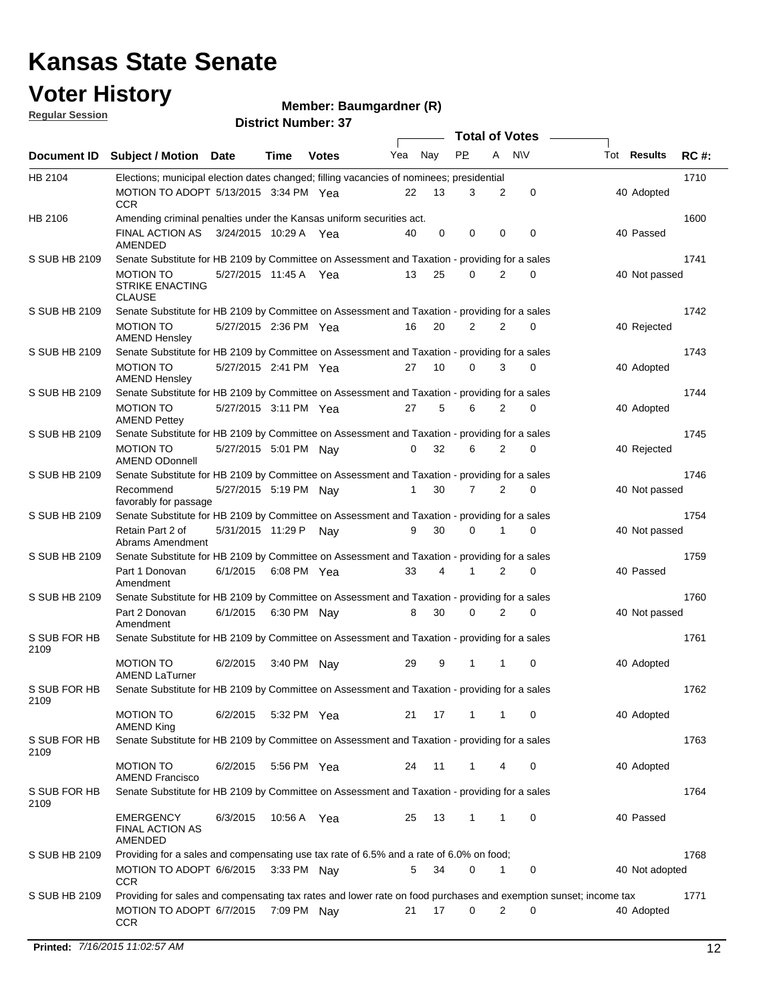### **Voter History**

**Member: Baumgardner (R)** 

**Regular Session**

|                      |                                                                                                                  | <b>Total of Votes</b> |             |              |     |             |              |                |             |  |                    |             |
|----------------------|------------------------------------------------------------------------------------------------------------------|-----------------------|-------------|--------------|-----|-------------|--------------|----------------|-------------|--|--------------------|-------------|
|                      | Document ID Subject / Motion Date                                                                                |                       | Time        | <b>Votes</b> | Yea | Nay         | PP           | A              | <b>NV</b>   |  | Tot <b>Results</b> | <b>RC#:</b> |
| HB 2104              | Elections; municipal election dates changed; filling vacancies of nominees; presidential                         |                       |             |              |     |             |              |                |             |  |                    | 1710        |
|                      | MOTION TO ADOPT 5/13/2015 3:34 PM Yea<br><b>CCR</b>                                                              |                       |             |              | 22  | 13          | 3            | 2              | 0           |  | 40 Adopted         |             |
| HB 2106              | Amending criminal penalties under the Kansas uniform securities act.                                             |                       |             |              |     |             |              |                |             |  |                    | 1600        |
|                      | FINAL ACTION AS<br>AMENDED                                                                                       | 3/24/2015 10:29 A Yea |             |              | 40  | $\mathbf 0$ | $\mathbf 0$  | $\mathbf 0$    | $\mathbf 0$ |  | 40 Passed          |             |
| S SUB HB 2109        | Senate Substitute for HB 2109 by Committee on Assessment and Taxation - providing for a sales                    |                       |             |              |     |             |              |                |             |  |                    | 1741        |
|                      | <b>MOTION TO</b><br><b>STRIKE ENACTING</b><br><b>CLAUSE</b>                                                      | 5/27/2015 11:45 A Yea |             |              | 13  | 25          | 0            | 2              | $\Omega$    |  | 40 Not passed      |             |
| S SUB HB 2109        | Senate Substitute for HB 2109 by Committee on Assessment and Taxation - providing for a sales                    |                       |             |              |     |             |              |                |             |  |                    | 1742        |
|                      | <b>MOTION TO</b><br><b>AMEND Hensley</b>                                                                         | 5/27/2015 2:36 PM Yea |             |              | 16  | 20          | 2            | 2              | 0           |  | 40 Rejected        |             |
| S SUB HB 2109        | Senate Substitute for HB 2109 by Committee on Assessment and Taxation - providing for a sales                    |                       |             |              |     |             |              |                |             |  |                    | 1743        |
|                      | <b>MOTION TO</b><br><b>AMEND Hensley</b>                                                                         | 5/27/2015 2:41 PM Yea |             |              | 27  | 10          | 0            | 3              | $\Omega$    |  | 40 Adopted         |             |
| S SUB HB 2109        | Senate Substitute for HB 2109 by Committee on Assessment and Taxation - providing for a sales                    |                       |             |              |     |             |              |                |             |  |                    | 1744        |
|                      | <b>MOTION TO</b><br><b>AMEND Pettey</b>                                                                          | 5/27/2015 3:11 PM Yea |             |              | 27  | 5           | 6            | $\overline{2}$ | 0           |  | 40 Adopted         |             |
| S SUB HB 2109        | Senate Substitute for HB 2109 by Committee on Assessment and Taxation - providing for a sales                    |                       |             |              |     |             |              |                |             |  |                    | 1745        |
|                      | <b>MOTION TO</b><br><b>AMEND ODonnell</b>                                                                        | 5/27/2015 5:01 PM Nav |             |              | 0   | 32          | 6            | 2              | 0           |  | 40 Rejected        |             |
| S SUB HB 2109        | Senate Substitute for HB 2109 by Committee on Assessment and Taxation - providing for a sales                    |                       |             |              |     |             |              |                |             |  |                    | 1746        |
|                      | Recommend<br>favorably for passage                                                                               | 5/27/2015 5:19 PM Nay |             |              | 1   | 30          | 7            | 2              | 0           |  | 40 Not passed      |             |
| S SUB HB 2109        | Senate Substitute for HB 2109 by Committee on Assessment and Taxation - providing for a sales                    |                       |             |              |     |             |              |                |             |  |                    | 1754        |
|                      | Retain Part 2 of<br>Abrams Amendment                                                                             | 5/31/2015 11:29 P     |             | Nav          | 9   | 30          | $\Omega$     | 1              | $\Omega$    |  | 40 Not passed      |             |
| S SUB HB 2109        | Senate Substitute for HB 2109 by Committee on Assessment and Taxation - providing for a sales                    |                       |             |              |     |             |              |                |             |  |                    | 1759        |
|                      | Part 1 Donovan<br>Amendment                                                                                      | 6/1/2015              | 6:08 PM Yea |              | 33  | 4           |              | 2              | 0           |  | 40 Passed          |             |
| S SUB HB 2109        | Senate Substitute for HB 2109 by Committee on Assessment and Taxation - providing for a sales                    |                       |             |              |     |             |              |                |             |  |                    | 1760        |
|                      | Part 2 Donovan<br>Amendment                                                                                      | 6/1/2015              | 6:30 PM Nay |              | 8   | 30          | 0            | 2              | 0           |  | 40 Not passed      |             |
| S SUB FOR HB<br>2109 | Senate Substitute for HB 2109 by Committee on Assessment and Taxation - providing for a sales                    |                       |             |              |     |             |              |                |             |  |                    | 1761        |
|                      | <b>MOTION TO</b><br><b>AMEND LaTurner</b>                                                                        | 6/2/2015              | 3:40 PM Nay |              | 29  | 9           | 1            | 1              | 0           |  | 40 Adopted         |             |
| S SUB FOR HB<br>2109 | Senate Substitute for HB 2109 by Committee on Assessment and Taxation - providing for a sales                    |                       |             |              |     |             |              |                |             |  |                    | 1762        |
|                      | <b>MOTION TO</b><br><b>AMEND King</b>                                                                            | 6/2/2015              | 5:32 PM Yea |              | 21  | 17          | 1            | 1              | 0           |  | 40 Adopted         |             |
| S SUB FOR HB<br>2109 | Senate Substitute for HB 2109 by Committee on Assessment and Taxation - providing for a sales                    |                       |             |              |     |             |              |                |             |  |                    | 1763        |
|                      | <b>MOTION TO</b><br><b>AMEND Francisco</b>                                                                       | 6/2/2015              | 5:56 PM Yea |              | 24  | 11          | 1            | 4              | 0           |  | 40 Adopted         |             |
| S SUB FOR HB<br>2109 | Senate Substitute for HB 2109 by Committee on Assessment and Taxation - providing for a sales                    |                       |             |              |     |             |              |                |             |  |                    | 1764        |
|                      | <b>EMERGENCY</b><br><b>FINAL ACTION AS</b><br>AMENDED                                                            | 6/3/2015              | 10:56 A Yea |              | 25  | 13          | $\mathbf{1}$ | 1              | 0           |  | 40 Passed          |             |
| S SUB HB 2109        | Providing for a sales and compensating use tax rate of 6.5% and a rate of 6.0% on food;                          |                       |             |              |     |             |              |                |             |  |                    | 1768        |
|                      | MOTION TO ADOPT 6/6/2015<br><b>CCR</b>                                                                           |                       | 3:33 PM Nav |              | 5   | 34          | 0            | 1              | 0           |  | 40 Not adopted     |             |
| S SUB HB 2109        | Providing for sales and compensating tax rates and lower rate on food purchases and exemption sunset; income tax |                       |             |              |     |             |              |                |             |  |                    | 1771        |
|                      | MOTION TO ADOPT 6/7/2015<br><b>CCR</b>                                                                           |                       | 7:09 PM Nay |              | 21  | 17          | 0            | 2              | 0           |  | 40 Adopted         |             |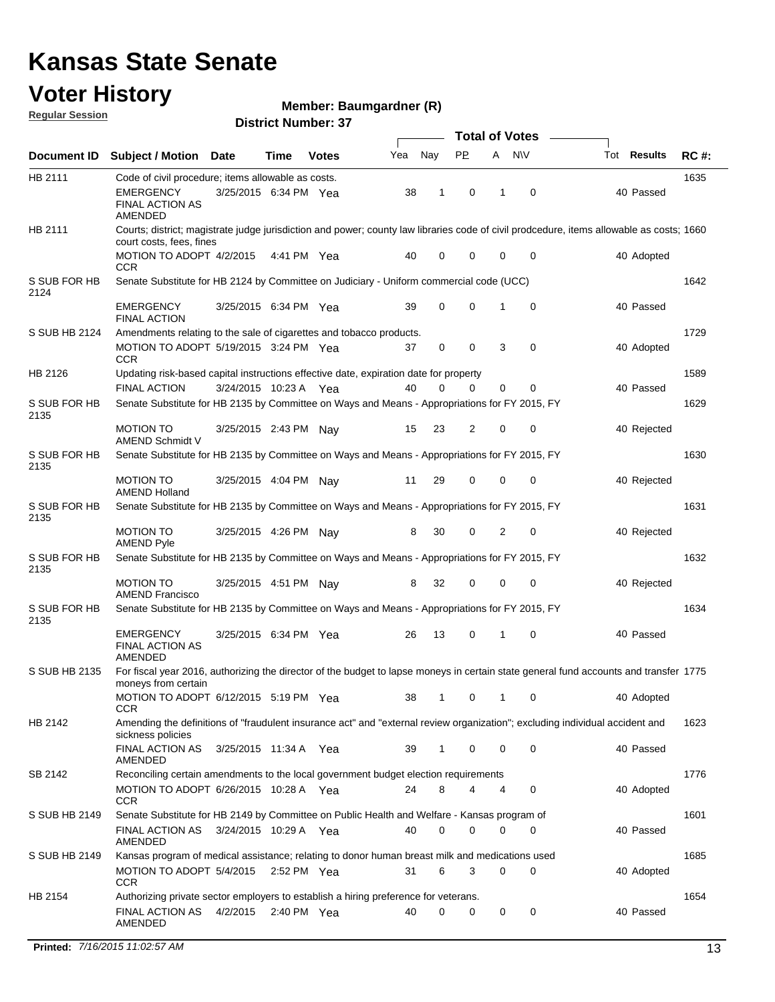#### **Voter History**

**Member: Baumgardner (R)** 

**Regular Session**

|                      |                                                                                                |                       |               |              | <b>Total of Votes</b> |             |           |   |             |                                                                                                                                          |             |
|----------------------|------------------------------------------------------------------------------------------------|-----------------------|---------------|--------------|-----------------------|-------------|-----------|---|-------------|------------------------------------------------------------------------------------------------------------------------------------------|-------------|
| <b>Document ID</b>   | <b>Subject / Motion Date</b>                                                                   |                       | Time          | <b>Votes</b> | Yea                   | Nay         | <b>PP</b> |   | A NW        | Tot <b>Results</b>                                                                                                                       | <b>RC#:</b> |
| HB 2111              | Code of civil procedure; items allowable as costs.                                             |                       |               |              |                       |             |           |   |             |                                                                                                                                          | 1635        |
|                      | EMERGENCY<br><b>FINAL ACTION AS</b><br>AMENDED                                                 | 3/25/2015 6:34 PM Yea |               |              | 38                    | 1           | 0         | 1 | $\mathbf 0$ | 40 Passed                                                                                                                                |             |
| HB 2111              | court costs, fees, fines                                                                       |                       |               |              |                       |             |           |   |             | Courts; district; magistrate judge jurisdiction and power; county law libraries code of civil prodcedure, items allowable as costs; 1660 |             |
|                      | MOTION TO ADOPT 4/2/2015<br><b>CCR</b>                                                         |                       | 4:41 PM Yea   |              | 40                    | 0           | 0         | 0 | 0           | 40 Adopted                                                                                                                               |             |
| S SUB FOR HB<br>2124 | Senate Substitute for HB 2124 by Committee on Judiciary - Uniform commercial code (UCC)        |                       |               |              |                       |             |           |   |             |                                                                                                                                          | 1642        |
|                      | <b>EMERGENCY</b><br><b>FINAL ACTION</b>                                                        | 3/25/2015 6:34 PM Yea |               |              | 39                    | $\mathbf 0$ | 0         |   | $\mathbf 0$ | 40 Passed                                                                                                                                |             |
| S SUB HB 2124        | Amendments relating to the sale of cigarettes and tobacco products.                            |                       |               |              |                       |             |           |   |             |                                                                                                                                          | 1729        |
|                      | MOTION TO ADOPT 5/19/2015 3:24 PM Yea<br>CCR                                                   |                       |               |              | 37                    | 0           | 0         | 3 | $\mathbf 0$ | 40 Adopted                                                                                                                               |             |
| HB 2126              | Updating risk-based capital instructions effective date, expiration date for property          |                       |               |              |                       |             |           |   |             |                                                                                                                                          | 1589        |
|                      | <b>FINAL ACTION</b>                                                                            | 3/24/2015 10:23 A Yea |               |              | 40                    | $\Omega$    | 0         | 0 | 0           | 40 Passed                                                                                                                                |             |
| S SUB FOR HB<br>2135 | Senate Substitute for HB 2135 by Committee on Ways and Means - Appropriations for FY 2015, FY  |                       |               |              |                       |             |           |   |             |                                                                                                                                          | 1629        |
|                      | <b>MOTION TO</b><br>AMEND Schmidt V                                                            | 3/25/2015 2:43 PM Nay |               |              | 15                    | 23          | 2         | 0 | 0           | 40 Rejected                                                                                                                              |             |
| S SUB FOR HB<br>2135 | Senate Substitute for HB 2135 by Committee on Ways and Means - Appropriations for FY 2015, FY  |                       |               |              |                       |             |           |   |             |                                                                                                                                          | 1630        |
|                      | <b>MOTION TO</b><br><b>AMEND Holland</b>                                                       | 3/25/2015 4:04 PM Nay |               |              | 11                    | 29          | 0         | 0 | 0           | 40 Rejected                                                                                                                              |             |
| S SUB FOR HB<br>2135 | Senate Substitute for HB 2135 by Committee on Ways and Means - Appropriations for FY 2015, FY  |                       |               |              |                       |             |           |   |             |                                                                                                                                          | 1631        |
|                      | <b>MOTION TO</b><br><b>AMEND Pyle</b>                                                          | 3/25/2015 4:26 PM Nay |               |              | 8                     | 30          | 0         | 2 | 0           | 40 Rejected                                                                                                                              |             |
| S SUB FOR HB<br>2135 | Senate Substitute for HB 2135 by Committee on Ways and Means - Appropriations for FY 2015, FY  |                       |               |              |                       |             |           |   |             |                                                                                                                                          | 1632        |
|                      | <b>MOTION TO</b><br><b>AMEND Francisco</b>                                                     | 3/25/2015 4:51 PM Nay |               |              | 8                     | 32          | 0         | 0 | $\mathbf 0$ | 40 Rejected                                                                                                                              |             |
| S SUB FOR HB<br>2135 | Senate Substitute for HB 2135 by Committee on Ways and Means - Appropriations for FY 2015, FY  |                       |               |              |                       |             |           |   |             |                                                                                                                                          | 1634        |
|                      | <b>EMERGENCY</b><br>FINAL ACTION AS<br>AMENDED                                                 | 3/25/2015 6:34 PM Yea |               |              | 26                    | 13          | 0         | 1 | $\mathbf 0$ | 40 Passed                                                                                                                                |             |
| S SUB HB 2135        | moneys from certain                                                                            |                       |               |              |                       |             |           |   |             | For fiscal year 2016, authorizing the director of the budget to lapse moneys in certain state general fund accounts and transfer 1775    |             |
|                      | MOTION TO ADOPT 6/12/2015 5:19 PM Yea<br>CCR                                                   |                       |               |              |                       |             |           |   | 38 1 0 1 0  | 40 Adopted                                                                                                                               |             |
| HB 2142              |                                                                                                |                       |               |              |                       |             |           |   |             | Amending the definitions of "fraudulent insurance act" and "external review organization"; excluding individual accident and             | 1623        |
|                      | sickness policies<br><b>FINAL ACTION AS</b><br>AMENDED                                         | 3/25/2015 11:34 A Yea |               |              | 39                    | 1           | 0         | 0 | 0           | 40 Passed                                                                                                                                |             |
| SB 2142              | Reconciling certain amendments to the local government budget election requirements            |                       |               |              |                       |             |           |   |             |                                                                                                                                          | 1776        |
|                      | MOTION TO ADOPT 6/26/2015 10:28 A Yea<br><b>CCR</b>                                            |                       |               |              | 24                    | 8           | 4         | 4 | 0           | 40 Adopted                                                                                                                               |             |
| S SUB HB 2149        | Senate Substitute for HB 2149 by Committee on Public Health and Welfare - Kansas program of    |                       |               |              |                       |             |           |   |             |                                                                                                                                          | 1601        |
|                      | FINAL ACTION AS<br>AMENDED                                                                     | 3/24/2015 10:29 A Yea |               |              | 40                    | 0           | 0         | 0 | 0           | 40 Passed                                                                                                                                |             |
| S SUB HB 2149        | Kansas program of medical assistance; relating to donor human breast milk and medications used |                       |               |              |                       |             |           |   |             |                                                                                                                                          | 1685        |
|                      | MOTION TO ADOPT 5/4/2015 2:52 PM Yea<br>CCR.                                                   |                       |               |              | 31                    | 6           | 3         | 0 | $\mathbf 0$ | 40 Adopted                                                                                                                               |             |
| HB 2154              | Authorizing private sector employers to establish a hiring preference for veterans.            |                       |               |              |                       |             |           |   |             |                                                                                                                                          | 1654        |
|                      | FINAL ACTION AS<br>AMENDED                                                                     | 4/2/2015              | 2:40 PM $Yea$ |              | 40                    | 0           | 0         | 0 | 0           | 40 Passed                                                                                                                                |             |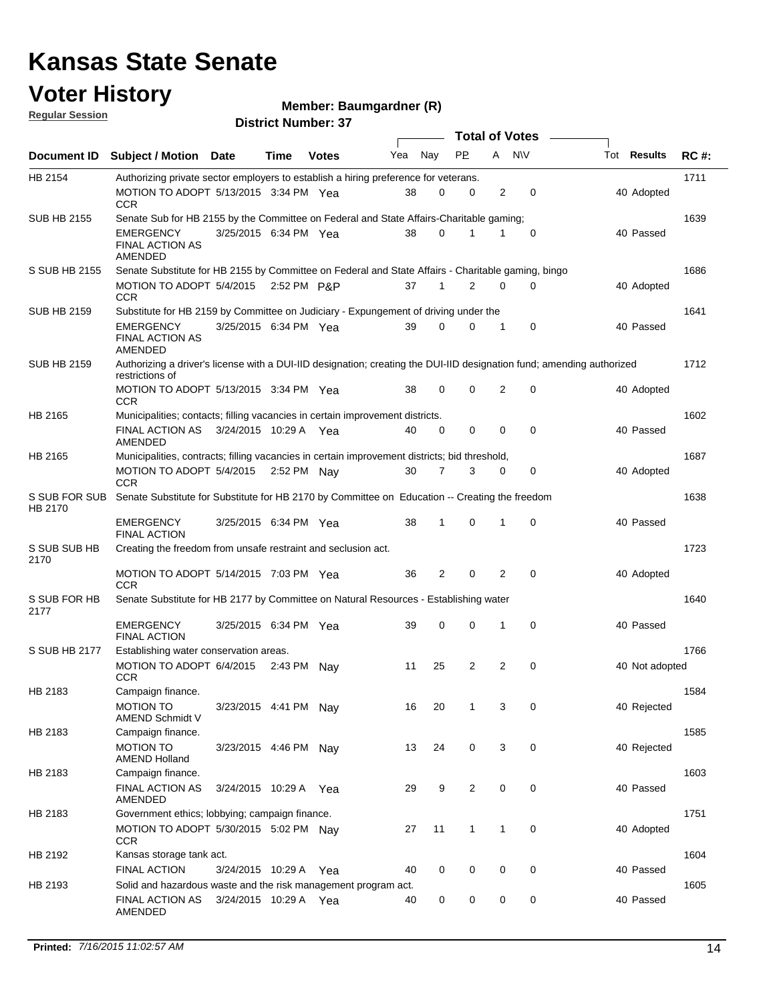#### **Voter History Regular Session**

**Member: Baumgardner (R)** 

| <u>noquial oceanuli</u>  | <b>District Number: 37</b>                                                                                                               |                       |             |              |     |             |              |              |             |  |                    |             |  |
|--------------------------|------------------------------------------------------------------------------------------------------------------------------------------|-----------------------|-------------|--------------|-----|-------------|--------------|--------------|-------------|--|--------------------|-------------|--|
|                          | Total of Votes –                                                                                                                         |                       |             |              |     |             |              |              |             |  |                    |             |  |
| <b>Document ID</b>       | <b>Subject / Motion</b>                                                                                                                  | <b>Date</b>           | Time        | <b>Votes</b> | Yea | Nay         | <b>PP</b>    | A            | <b>NV</b>   |  | Tot <b>Results</b> | <b>RC#:</b> |  |
| HB 2154                  | Authorizing private sector employers to establish a hiring preference for veterans.                                                      |                       |             |              |     |             |              |              |             |  |                    | 1711        |  |
|                          | MOTION TO ADOPT 5/13/2015 3:34 PM Yea<br><b>CCR</b>                                                                                      |                       |             |              | 38  | 0           | 0            | 2            | 0           |  | 40 Adopted         |             |  |
| <b>SUB HB 2155</b>       | Senate Sub for HB 2155 by the Committee on Federal and State Affairs-Charitable gaming;                                                  |                       |             |              |     |             |              |              |             |  |                    | 1639        |  |
|                          | <b>EMERGENCY</b><br><b>FINAL ACTION AS</b><br>AMENDED                                                                                    | 3/25/2015 6:34 PM Yea |             |              | 38  | 0           |              | 1            | 0           |  | 40 Passed          |             |  |
| S SUB HB 2155            | Senate Substitute for HB 2155 by Committee on Federal and State Affairs - Charitable gaming, bingo                                       |                       |             |              |     |             |              |              |             |  |                    | 1686        |  |
|                          | MOTION TO ADOPT 5/4/2015<br><b>CCR</b>                                                                                                   |                       | 2:52 PM P&P |              | 37  | 1           | 2            | 0            | 0           |  | 40 Adopted         |             |  |
| <b>SUB HB 2159</b>       | Substitute for HB 2159 by Committee on Judiciary - Expungement of driving under the                                                      |                       |             |              |     |             |              |              |             |  |                    | 1641        |  |
|                          | <b>EMERGENCY</b><br><b>FINAL ACTION AS</b><br>AMENDED                                                                                    | 3/25/2015 6:34 PM Yea |             |              | 39  | 0           | 0            | 1            | 0           |  | 40 Passed          |             |  |
| <b>SUB HB 2159</b>       | Authorizing a driver's license with a DUI-IID designation; creating the DUI-IID designation fund; amending authorized<br>restrictions of |                       |             |              |     |             |              |              |             |  |                    | 1712        |  |
|                          | MOTION TO ADOPT 5/13/2015 3:34 PM Yea<br><b>CCR</b>                                                                                      |                       |             |              | 38  | $\mathbf 0$ | 0            | 2            | $\mathbf 0$ |  | 40 Adopted         |             |  |
| HB 2165                  | Municipalities; contacts; filling vacancies in certain improvement districts.                                                            |                       |             |              |     |             |              |              |             |  |                    | 1602        |  |
|                          | <b>FINAL ACTION AS</b><br>AMENDED                                                                                                        | 3/24/2015 10:29 A Yea |             |              | 40  | 0           | 0            | $\mathbf 0$  | 0           |  | 40 Passed          |             |  |
| HB 2165                  | Municipalities, contracts; filling vacancies in certain improvement districts; bid threshold,<br>MOTION TO ADOPT 5/4/2015                |                       |             | 2:52 PM Nav  | 30  | 7           | 3            | 0            | 0           |  | 40 Adopted         | 1687        |  |
|                          | <b>CCR</b>                                                                                                                               |                       |             |              |     |             |              |              |             |  |                    |             |  |
| S SUB FOR SUB<br>HB 2170 | Senate Substitute for Substitute for HB 2170 by Committee on Education -- Creating the freedom                                           |                       |             |              |     |             |              |              |             |  |                    | 1638        |  |
|                          | <b>EMERGENCY</b><br><b>FINAL ACTION</b>                                                                                                  | 3/25/2015 6:34 PM Yea |             |              | 38  | 1           | 0            | 1            | 0           |  | 40 Passed          |             |  |
| S SUB SUB HB<br>2170     | Creating the freedom from unsafe restraint and seclusion act.                                                                            |                       |             |              |     |             |              |              |             |  |                    | 1723        |  |
|                          | MOTION TO ADOPT 5/14/2015 7:03 PM Yea<br><b>CCR</b>                                                                                      |                       |             |              | 36  | 2           | $\mathbf 0$  | 2            | 0           |  | 40 Adopted         |             |  |
| S SUB FOR HB<br>2177     | Senate Substitute for HB 2177 by Committee on Natural Resources - Establishing water                                                     |                       |             |              |     |             |              |              |             |  |                    | 1640        |  |
|                          | <b>EMERGENCY</b><br><b>FINAL ACTION</b>                                                                                                  | 3/25/2015 6:34 PM Yea |             |              | 39  | $\mathbf 0$ | 0            | $\mathbf{1}$ | 0           |  | 40 Passed          |             |  |
| S SUB HB 2177            | Establishing water conservation areas.                                                                                                   |                       |             |              |     |             |              |              |             |  |                    | 1766        |  |
|                          | MOTION TO ADOPT 6/4/2015<br><b>CCR</b>                                                                                                   |                       |             | 2:43 PM Nay  | 11  | 25          | 2            | 2            | 0           |  | 40 Not adopted     |             |  |
| HB 2183                  | Campaign finance.                                                                                                                        |                       |             |              |     |             |              |              |             |  |                    | 1584        |  |
|                          | <b>MOTION TO</b><br>AMEND Schmidt V                                                                                                      | 3/23/2015 4:41 PM Nay |             |              | 16  | 20          | 1            | 3            | 0           |  | 40 Rejected        |             |  |
| HB 2183                  | Campaign finance.                                                                                                                        |                       |             |              |     |             |              |              |             |  |                    | 1585        |  |
|                          | <b>MOTION TO</b><br><b>AMEND Holland</b>                                                                                                 | 3/23/2015 4:46 PM Nay |             |              | 13  | 24          | 0            | 3            | 0           |  | 40 Rejected        |             |  |
| HB 2183                  | Campaign finance.                                                                                                                        |                       |             |              |     |             |              |              |             |  |                    | 1603        |  |
|                          | <b>FINAL ACTION AS</b><br>AMENDED                                                                                                        | 3/24/2015 10:29 A Yea |             |              | 29  | 9           | 2            | 0            | 0           |  | 40 Passed          |             |  |
| HB 2183                  | Government ethics; lobbying; campaign finance.                                                                                           |                       |             |              |     |             |              |              |             |  |                    | 1751        |  |
|                          | MOTION TO ADOPT 5/30/2015 5:02 PM Nav<br><b>CCR</b>                                                                                      |                       |             |              | 27  | 11          | $\mathbf{1}$ | 1            | $\mathbf 0$ |  | 40 Adopted         |             |  |
| HB 2192                  | Kansas storage tank act.                                                                                                                 |                       |             |              |     |             |              |              |             |  |                    | 1604        |  |
| HB 2193                  | <b>FINAL ACTION</b><br>Solid and hazardous waste and the risk management program act.                                                    | 3/24/2015 10:29 A     |             | Yea          | 40  | 0           | 0            | 0            | 0           |  | 40 Passed          | 1605        |  |
|                          | <b>FINAL ACTION AS</b><br>AMENDED                                                                                                        | 3/24/2015 10:29 A Yea |             |              | 40  | 0           | 0            | 0            | 0           |  | 40 Passed          |             |  |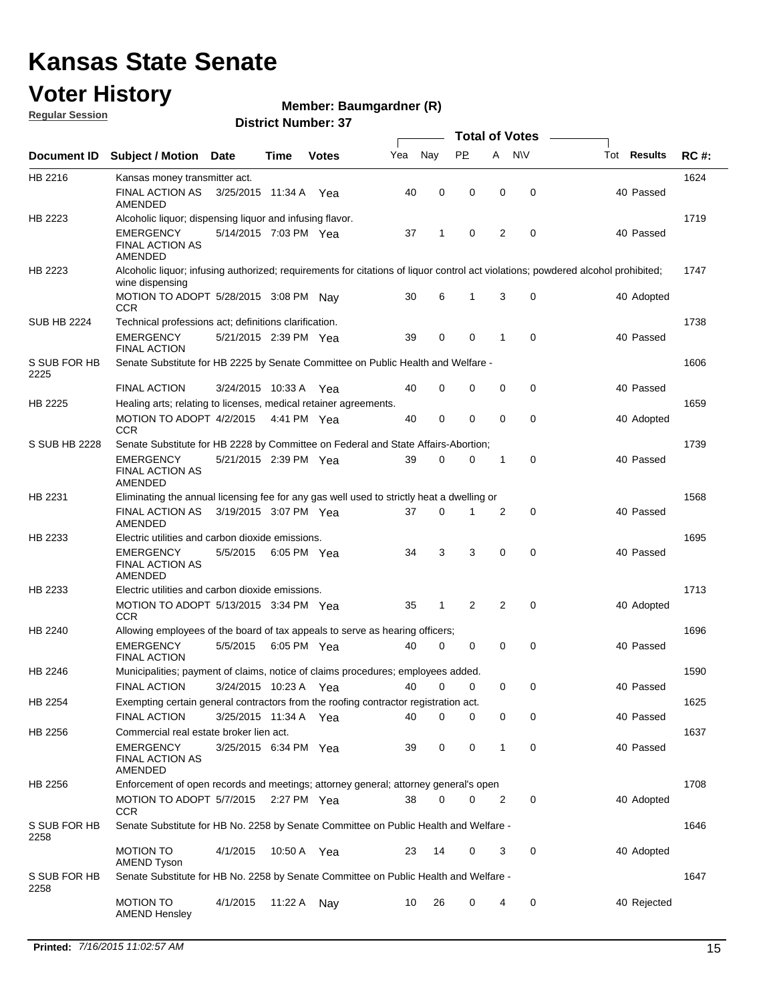#### **Voter History**

**Regular Session**

#### **Member: Baumgardner (R)**

|                      |                                                                                           |                       |             |              |     |              | <b>Total of Votes</b> |   |             |                                                                                                                                  |             |  |  |
|----------------------|-------------------------------------------------------------------------------------------|-----------------------|-------------|--------------|-----|--------------|-----------------------|---|-------------|----------------------------------------------------------------------------------------------------------------------------------|-------------|--|--|
| <b>Document ID</b>   | <b>Subject / Motion Date</b>                                                              |                       | Time        | <b>Votes</b> | Yea | Nay          | <b>PP</b>             | A | <b>NV</b>   | Tot <b>Results</b>                                                                                                               | <b>RC#:</b> |  |  |
| HB 2216              | Kansas money transmitter act.                                                             |                       |             |              |     |              |                       |   |             |                                                                                                                                  | 1624        |  |  |
|                      | <b>FINAL ACTION AS</b><br>AMENDED                                                         | 3/25/2015 11:34 A     |             | Yea          | 40  | 0            | 0                     | 0 | 0           | 40 Passed                                                                                                                        |             |  |  |
| HB 2223              | Alcoholic liquor; dispensing liquor and infusing flavor.                                  |                       |             |              |     |              |                       |   |             |                                                                                                                                  | 1719        |  |  |
|                      | <b>EMERGENCY</b><br><b>FINAL ACTION AS</b><br><b>AMENDED</b>                              | 5/14/2015 7:03 PM Yea |             |              | 37  | 1            | 0                     | 2 | $\mathbf 0$ | 40 Passed                                                                                                                        |             |  |  |
| HB 2223              | wine dispensing                                                                           |                       |             |              |     |              |                       |   |             | Alcoholic liquor; infusing authorized; requirements for citations of liquor control act violations; powdered alcohol prohibited; | 1747        |  |  |
|                      | MOTION TO ADOPT 5/28/2015 3:08 PM Nay<br><b>CCR</b>                                       |                       |             |              | 30  | 6            | 1                     | 3 | 0           | 40 Adopted                                                                                                                       |             |  |  |
| <b>SUB HB 2224</b>   | Technical professions act; definitions clarification.                                     |                       |             |              |     |              |                       |   |             |                                                                                                                                  | 1738        |  |  |
|                      | <b>EMERGENCY</b><br><b>FINAL ACTION</b>                                                   | 5/21/2015 2:39 PM Yea |             |              | 39  | 0            | 0                     | 1 | 0           | 40 Passed                                                                                                                        |             |  |  |
| S SUB FOR HB<br>2225 | Senate Substitute for HB 2225 by Senate Committee on Public Health and Welfare -          |                       |             |              |     |              |                       |   |             |                                                                                                                                  | 1606        |  |  |
|                      | <b>FINAL ACTION</b>                                                                       | 3/24/2015 10:33 A     |             | Yea          | 40  | $\mathbf 0$  | 0                     | 0 | 0           | 40 Passed                                                                                                                        |             |  |  |
| HB 2225              | Healing arts; relating to licenses, medical retainer agreements.                          |                       |             |              |     |              |                       |   |             |                                                                                                                                  | 1659        |  |  |
|                      | MOTION TO ADOPT 4/2/2015<br><b>CCR</b>                                                    |                       | 4:41 PM Yea |              | 40  | 0            | 0                     | 0 | 0           | 40 Adopted                                                                                                                       |             |  |  |
| S SUB HB 2228        | Senate Substitute for HB 2228 by Committee on Federal and State Affairs-Abortion;         |                       |             |              |     |              |                       |   |             |                                                                                                                                  | 1739        |  |  |
|                      | EMERGENCY<br><b>FINAL ACTION AS</b><br>AMENDED                                            | 5/21/2015 2:39 PM Yea |             |              | 39  | 0            | 0                     | 1 | 0           | 40 Passed                                                                                                                        |             |  |  |
| HB 2231              | Eliminating the annual licensing fee for any gas well used to strictly heat a dwelling or |                       |             |              |     |              |                       |   |             |                                                                                                                                  | 1568        |  |  |
|                      | <b>FINAL ACTION AS</b><br>AMENDED                                                         | 3/19/2015 3:07 PM Yea |             |              | 37  | $\mathbf 0$  | 1                     | 2 | 0           | 40 Passed                                                                                                                        |             |  |  |
| HB 2233              | Electric utilities and carbon dioxide emissions.                                          |                       |             |              |     |              |                       |   |             |                                                                                                                                  | 1695        |  |  |
|                      | <b>EMERGENCY</b><br><b>FINAL ACTION AS</b><br>AMENDED                                     | 5/5/2015              | 6:05 PM Yea |              | 34  | 3            | 3                     | 0 | $\mathbf 0$ | 40 Passed                                                                                                                        |             |  |  |
| HB 2233              | Electric utilities and carbon dioxide emissions.                                          |                       |             |              |     |              |                       |   |             |                                                                                                                                  | 1713        |  |  |
|                      | MOTION TO ADOPT 5/13/2015 3:34 PM Yea<br><b>CCR</b>                                       |                       |             |              | 35  | $\mathbf{1}$ | 2                     | 2 | 0           | 40 Adopted                                                                                                                       |             |  |  |
| HB 2240              | Allowing employees of the board of tax appeals to serve as hearing officers;              |                       |             |              |     |              |                       |   |             |                                                                                                                                  | 1696        |  |  |
|                      | <b>EMERGENCY</b><br><b>FINAL ACTION</b>                                                   | 5/5/2015              | 6:05 PM Yea |              | 40  | 0            | 0                     | 0 | 0           | 40 Passed                                                                                                                        |             |  |  |
| HB 2246              | Municipalities; payment of claims, notice of claims procedures; employees added.          |                       |             |              |     |              |                       |   |             |                                                                                                                                  | 1590        |  |  |
|                      | <b>FINAL ACTION</b>                                                                       | 3/24/2015 10:23 A     |             | Yea          | 40  | 0            | 0                     | 0 | 0           | 40 Passed                                                                                                                        |             |  |  |
| HB 2254              | Exempting certain general contractors from the roofing contractor registration act.       |                       |             |              |     |              |                       |   |             |                                                                                                                                  | 1625        |  |  |
|                      | <b>FINAL ACTION</b>                                                                       | 3/25/2015 11:34 A Yea |             |              | 40  | $\mathbf 0$  | 0                     | 0 | 0           | 40 Passed                                                                                                                        |             |  |  |
| HB 2256              | Commercial real estate broker lien act.                                                   |                       |             |              |     |              |                       |   |             |                                                                                                                                  | 1637        |  |  |
|                      | <b>EMERGENCY</b><br><b>FINAL ACTION AS</b><br>AMENDED                                     | 3/25/2015 6:34 PM Yea |             |              | 39  | 0            | 0                     | 1 | 0           | 40 Passed                                                                                                                        |             |  |  |
| HB 2256              | Enforcement of open records and meetings; attorney general; attorney general's open       |                       |             |              |     |              |                       |   |             |                                                                                                                                  | 1708        |  |  |
|                      | MOTION TO ADOPT 5/7/2015<br><b>CCR</b>                                                    |                       | 2:27 PM Yea |              | 38  | 0            | 0                     | 2 | 0           | 40 Adopted                                                                                                                       |             |  |  |
| S SUB FOR HB<br>2258 | Senate Substitute for HB No. 2258 by Senate Committee on Public Health and Welfare -      |                       |             |              |     |              |                       |   |             |                                                                                                                                  | 1646        |  |  |
|                      | <b>MOTION TO</b><br><b>AMEND Tyson</b>                                                    | 4/1/2015              | 10:50 A Yea |              | 23  | 14           | 0                     | 3 | 0           | 40 Adopted                                                                                                                       |             |  |  |
| S SUB FOR HB<br>2258 | Senate Substitute for HB No. 2258 by Senate Committee on Public Health and Welfare -      |                       |             |              |     |              |                       |   |             |                                                                                                                                  | 1647        |  |  |
|                      | <b>MOTION TO</b><br><b>AMEND Hensley</b>                                                  | 4/1/2015              | 11:22 A Nay |              | 10  | 26           | 0                     | 4 | 0           | 40 Rejected                                                                                                                      |             |  |  |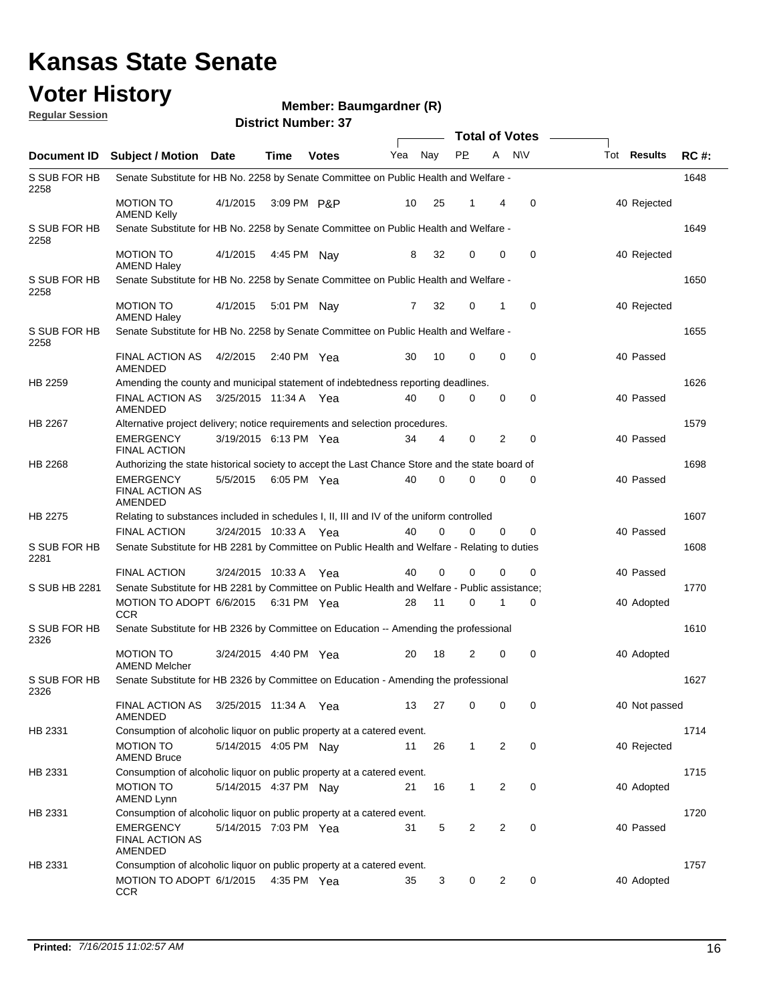#### **Voter History Regular Session**

#### **Member: Baumgardner (R)**

|                      |                                                                                                 |                       |             |              |              |                | <b>Total of Votes</b> |                |             |                    |             |
|----------------------|-------------------------------------------------------------------------------------------------|-----------------------|-------------|--------------|--------------|----------------|-----------------------|----------------|-------------|--------------------|-------------|
| <b>Document ID</b>   | <b>Subject / Motion Date</b>                                                                    |                       | Time        | <b>Votes</b> | Yea          | Nav            | <b>PP</b>             | A NW           |             | Tot <b>Results</b> | <b>RC#:</b> |
| S SUB FOR HB<br>2258 | Senate Substitute for HB No. 2258 by Senate Committee on Public Health and Welfare -            |                       |             |              |              |                |                       |                |             |                    | 1648        |
|                      | <b>MOTION TO</b><br><b>AMEND Kelly</b>                                                          | 4/1/2015              | 3:09 PM P&P |              | 10           | 25             | 1                     | 4              | 0           | 40 Rejected        |             |
| S SUB FOR HB<br>2258 | Senate Substitute for HB No. 2258 by Senate Committee on Public Health and Welfare -            |                       |             |              |              |                |                       |                |             |                    | 1649        |
|                      | <b>MOTION TO</b><br><b>AMEND Haley</b>                                                          | 4/1/2015              | 4:45 PM Nay |              | 8            | 32             | 0                     | 0              | $\mathbf 0$ | 40 Rejected        |             |
| S SUB FOR HB<br>2258 | Senate Substitute for HB No. 2258 by Senate Committee on Public Health and Welfare -            |                       |             |              |              |                |                       |                |             |                    | 1650        |
|                      | <b>MOTION TO</b><br><b>AMEND Haley</b>                                                          | 4/1/2015              | 5:01 PM Nay |              | $\mathbf{7}$ | 32             | 0                     | 1              | $\mathbf 0$ | 40 Rejected        |             |
| S SUB FOR HB<br>2258 | Senate Substitute for HB No. 2258 by Senate Committee on Public Health and Welfare -            |                       |             |              |              |                |                       |                |             |                    | 1655        |
|                      | <b>FINAL ACTION AS</b><br>AMENDED                                                               | 4/2/2015              | 2:40 PM Yea |              | 30           | 10             | $\Omega$              | $\mathbf 0$    | $\mathbf 0$ | 40 Passed          |             |
| HB 2259              | Amending the county and municipal statement of indebtedness reporting deadlines.                |                       |             |              |              |                |                       |                |             |                    | 1626        |
|                      | <b>FINAL ACTION AS</b><br><b>AMENDED</b>                                                        | 3/25/2015 11:34 A Yea |             |              | 40           | 0              | 0                     | 0              | $\mathbf 0$ | 40 Passed          |             |
| HB 2267              | Alternative project delivery; notice requirements and selection procedures.                     |                       |             |              |              |                |                       |                |             |                    | 1579        |
|                      | <b>EMERGENCY</b><br><b>FINAL ACTION</b>                                                         | 3/19/2015 6:13 PM Yea |             |              | 34           | $\overline{4}$ | 0                     | $\overline{2}$ | 0           | 40 Passed          |             |
| HB 2268              | Authorizing the state historical society to accept the Last Chance Store and the state board of |                       |             |              |              |                |                       |                |             |                    | 1698        |
|                      | <b>EMERGENCY</b><br><b>FINAL ACTION AS</b><br>AMENDED                                           | 5/5/2015              | 6:05 PM Yea |              | 40           | $\mathbf 0$    | $\Omega$              | 0              | $\mathbf 0$ | 40 Passed          |             |
| HB 2275              | Relating to substances included in schedules I, II, III and IV of the uniform controlled        |                       |             |              |              |                |                       |                |             |                    | 1607        |
|                      | <b>FINAL ACTION</b>                                                                             | 3/24/2015 10:33 A Yea |             |              | 40           | $\Omega$       | 0                     | $\Omega$       | 0           | 40 Passed          |             |
| S SUB FOR HB<br>2281 | Senate Substitute for HB 2281 by Committee on Public Health and Welfare - Relating to duties    |                       |             |              |              |                |                       |                |             |                    | 1608        |
|                      | <b>FINAL ACTION</b>                                                                             | 3/24/2015 10:33 A Yea |             |              | 40           | 0              | $\Omega$              | 0              | $\Omega$    | 40 Passed          |             |
| S SUB HB 2281        | Senate Substitute for HB 2281 by Committee on Public Health and Welfare - Public assistance;    |                       |             |              |              |                |                       |                |             |                    | 1770        |
|                      | MOTION TO ADOPT 6/6/2015 6:31 PM Yea<br><b>CCR</b>                                              |                       |             |              | 28           | 11             | 0                     | 1              | 0           | 40 Adopted         |             |
| S SUB FOR HB<br>2326 | Senate Substitute for HB 2326 by Committee on Education -- Amending the professional            |                       |             |              |              |                |                       |                |             |                    | 1610        |
|                      | <b>MOTION TO</b><br><b>AMEND Melcher</b>                                                        | 3/24/2015 4:40 PM Yea |             |              | 20           | 18             | 2                     | 0              | 0           | 40 Adopted         |             |
| S SUB FOR HB<br>2326 | Senate Substitute for HB 2326 by Committee on Education - Amending the professional             |                       |             |              |              |                |                       |                |             |                    | 1627        |
|                      | FINAL ACTION AS<br>AMENDED                                                                      | 3/25/2015 11:34 A Yea |             |              | 13           | 27             | 0                     | 0              | 0           | 40 Not passed      |             |
| HB 2331              | Consumption of alcoholic liquor on public property at a catered event.                          |                       |             |              |              |                |                       |                |             |                    | 1714        |
|                      | <b>MOTION TO</b><br><b>AMEND Bruce</b>                                                          | 5/14/2015 4:05 PM Nay |             |              | 11           | 26             | $\mathbf{1}$          | $\overline{c}$ | 0           | 40 Rejected        |             |
| HB 2331              | Consumption of alcoholic liquor on public property at a catered event.                          |                       |             |              |              |                |                       |                |             |                    | 1715        |
|                      | MOTION TO<br>AMEND Lynn                                                                         | 5/14/2015 4:37 PM Nay |             |              | 21           | 16             | $\mathbf{1}$          | 2              | 0           | 40 Adopted         |             |
| HB 2331              | Consumption of alcoholic liquor on public property at a catered event.                          |                       |             |              |              |                |                       |                |             |                    | 1720        |
|                      | <b>EMERGENCY</b><br><b>FINAL ACTION AS</b><br><b>AMENDED</b>                                    | 5/14/2015 7:03 PM Yea |             |              | 31           | 5              | $\overline{2}$        | $\overline{2}$ | 0           | 40 Passed          |             |
| HB 2331              | Consumption of alcoholic liquor on public property at a catered event.                          |                       |             |              |              |                |                       |                |             |                    | 1757        |
|                      | MOTION TO ADOPT 6/1/2015<br><b>CCR</b>                                                          |                       | 4:35 PM Yea |              | 35           | 3              | 0                     | 2              | 0           | 40 Adopted         |             |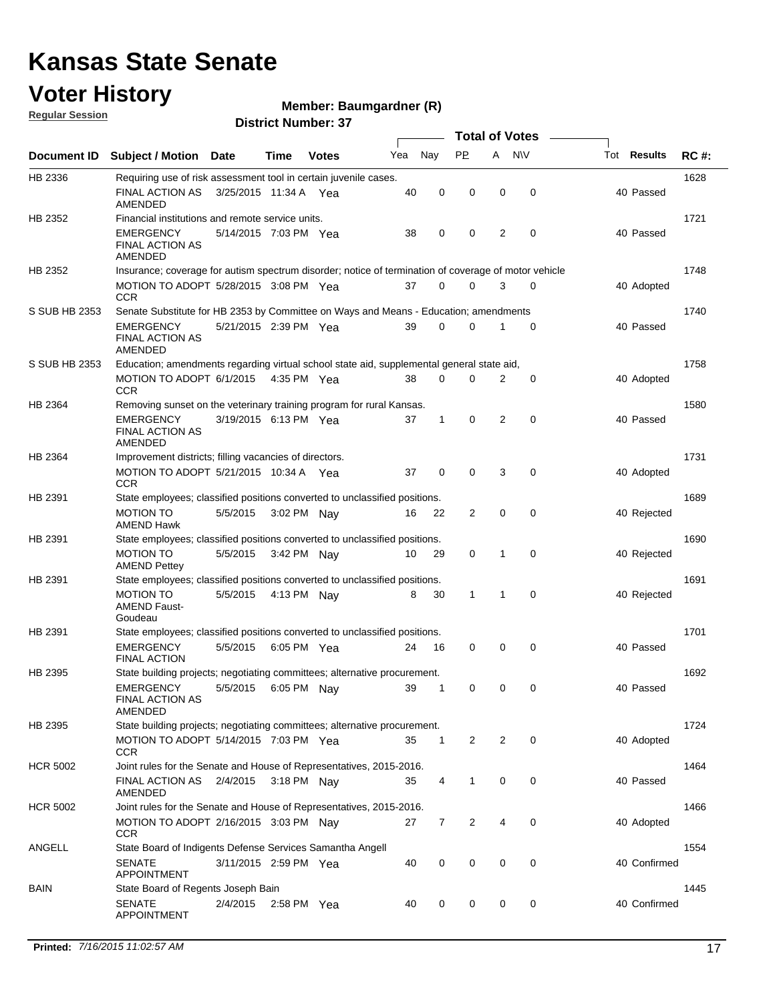### **Voter History**

**Regular Session**

#### **Member: Baumgardner (R)**

|                 |                                                                                                      |                       |             |              |     |              |              | <b>Total of Votes</b> |             |              |             |
|-----------------|------------------------------------------------------------------------------------------------------|-----------------------|-------------|--------------|-----|--------------|--------------|-----------------------|-------------|--------------|-------------|
| Document ID     | <b>Subject / Motion Date</b>                                                                         |                       | Time        | <b>Votes</b> | Yea | Nay          | <b>PP</b>    | A NW                  |             | Tot Results  | <b>RC#:</b> |
| HB 2336         | Requiring use of risk assessment tool in certain juvenile cases.                                     |                       |             |              |     |              |              |                       |             |              | 1628        |
|                 | FINAL ACTION AS<br>AMENDED                                                                           | 3/25/2015 11:34 A Yea |             |              | 40  | 0            | 0            | $\mathbf 0$           | $\mathbf 0$ | 40 Passed    |             |
| HB 2352         | Financial institutions and remote service units.                                                     |                       |             |              |     |              |              |                       |             |              | 1721        |
|                 | EMERGENCY<br><b>FINAL ACTION AS</b><br>AMENDED                                                       | 5/14/2015 7:03 PM Yea |             |              | 38  | 0            | 0            | 2                     | $\mathbf 0$ | 40 Passed    |             |
| HB 2352         | Insurance; coverage for autism spectrum disorder; notice of termination of coverage of motor vehicle |                       |             |              |     |              |              |                       |             |              | 1748        |
|                 | MOTION TO ADOPT 5/28/2015 3:08 PM Yea<br><b>CCR</b>                                                  |                       |             |              | 37  | 0            | 0            | 3                     | $\mathbf 0$ | 40 Adopted   |             |
| S SUB HB 2353   | Senate Substitute for HB 2353 by Committee on Ways and Means - Education; amendments                 |                       |             |              |     |              |              |                       |             |              | 1740        |
|                 | EMERGENCY<br><b>FINAL ACTION AS</b><br>AMENDED                                                       | 5/21/2015 2:39 PM Yea |             |              | 39  | 0            | 0            | 1                     | 0           | 40 Passed    |             |
| S SUB HB 2353   | Education; amendments regarding virtual school state aid, supplemental general state aid,            |                       |             |              |     |              |              |                       |             |              | 1758        |
|                 | MOTION TO ADOPT 6/1/2015 4:35 PM Yea<br><b>CCR</b>                                                   |                       |             |              | 38  | 0            | $\Omega$     | $\overline{2}$        | 0           | 40 Adopted   |             |
| HB 2364         | Removing sunset on the veterinary training program for rural Kansas.                                 |                       |             |              |     |              |              |                       |             |              | 1580        |
|                 | EMERGENCY<br>FINAL ACTION AS<br>AMENDED                                                              | 3/19/2015 6:13 PM Yea |             |              | 37  | $\mathbf{1}$ | 0            | 2                     | $\mathbf 0$ | 40 Passed    |             |
| HB 2364         | Improvement districts; filling vacancies of directors.                                               |                       |             |              |     |              |              |                       |             |              | 1731        |
|                 | MOTION TO ADOPT 5/21/2015 10:34 A Yea<br>CCR                                                         |                       |             |              | 37  | $\mathbf 0$  | $\mathbf 0$  | 3                     | 0           | 40 Adopted   |             |
| HB 2391         | State employees; classified positions converted to unclassified positions.                           |                       |             |              |     |              |              |                       |             |              | 1689        |
|                 | <b>MOTION TO</b><br>AMEND Hawk                                                                       | 5/5/2015              | 3:02 PM Nay |              | 16  | 22           | 2            | $\mathbf 0$           | $\mathbf 0$ | 40 Rejected  |             |
| HB 2391         | State employees; classified positions converted to unclassified positions.                           |                       |             |              |     |              |              |                       |             |              | 1690        |
|                 | <b>MOTION TO</b><br><b>AMEND Pettey</b>                                                              | 5/5/2015              | 3:42 PM Nay |              | 10  | 29           | 0            | 1                     | $\mathbf 0$ | 40 Rejected  |             |
| HB 2391         | State employees; classified positions converted to unclassified positions.                           |                       |             |              |     |              |              |                       |             |              | 1691        |
|                 | <b>MOTION TO</b><br><b>AMEND Faust-</b><br>Goudeau                                                   | 5/5/2015              | 4:13 PM Nay |              | 8   | 30           | 1            | 1                     | 0           | 40 Rejected  |             |
| HB 2391         | State employees; classified positions converted to unclassified positions.                           |                       |             |              |     |              |              |                       |             |              | 1701        |
|                 | EMERGENCY<br><b>FINAL ACTION</b>                                                                     | 5/5/2015              | 6:05 PM Yea |              | 24  | 16           | 0            | $\mathbf 0$           | 0           | 40 Passed    |             |
| HB 2395         | State building projects; negotiating committees; alternative procurement.                            |                       |             |              |     |              |              |                       |             |              | 1692        |
|                 | <b>EMERGENCY</b><br>FINAL ACTION AS<br>AMENDED                                                       | 5/5/2015              | 6:05 PM Nay |              | 39  | 1            | 0            | 0                     | 0           | 40 Passed    |             |
| HB 2395         | State building projects; negotiating committees; alternative procurement.                            |                       |             |              |     |              |              |                       |             |              | 1724        |
|                 | MOTION TO ADOPT 5/14/2015 7:03 PM Yea<br>CCR                                                         |                       |             |              | 35  | $\mathbf{1}$ | 2            | 2                     | 0           | 40 Adopted   |             |
| <b>HCR 5002</b> | Joint rules for the Senate and House of Representatives, 2015-2016.                                  |                       |             |              |     |              |              |                       |             |              | 1464        |
|                 | FINAL ACTION AS  2/4/2015  3:18 PM  Nav<br>AMENDED                                                   |                       |             |              | 35  | 4            | $\mathbf{1}$ | 0                     | 0           | 40 Passed    |             |
| <b>HCR 5002</b> | Joint rules for the Senate and House of Representatives, 2015-2016.                                  |                       |             |              |     |              |              |                       |             |              | 1466        |
|                 | MOTION TO ADOPT 2/16/2015 3:03 PM Nav<br>CCR                                                         |                       |             |              | 27  | 7            | 2            | 4                     | 0           | 40 Adopted   |             |
| ANGELL          | State Board of Indigents Defense Services Samantha Angell                                            |                       |             |              |     |              |              |                       |             |              | 1554        |
|                 | <b>SENATE</b><br><b>APPOINTMENT</b>                                                                  | 3/11/2015 2:59 PM Yea |             |              | 40  | 0            | 0            | 0                     | 0           | 40 Confirmed |             |
| BAIN            | State Board of Regents Joseph Bain                                                                   |                       |             |              |     |              |              |                       |             |              | 1445        |
|                 | <b>SENATE</b><br><b>APPOINTMENT</b>                                                                  | 2/4/2015              | 2:58 PM Yea |              | 40  | 0            | 0            | 0                     | 0           | 40 Confirmed |             |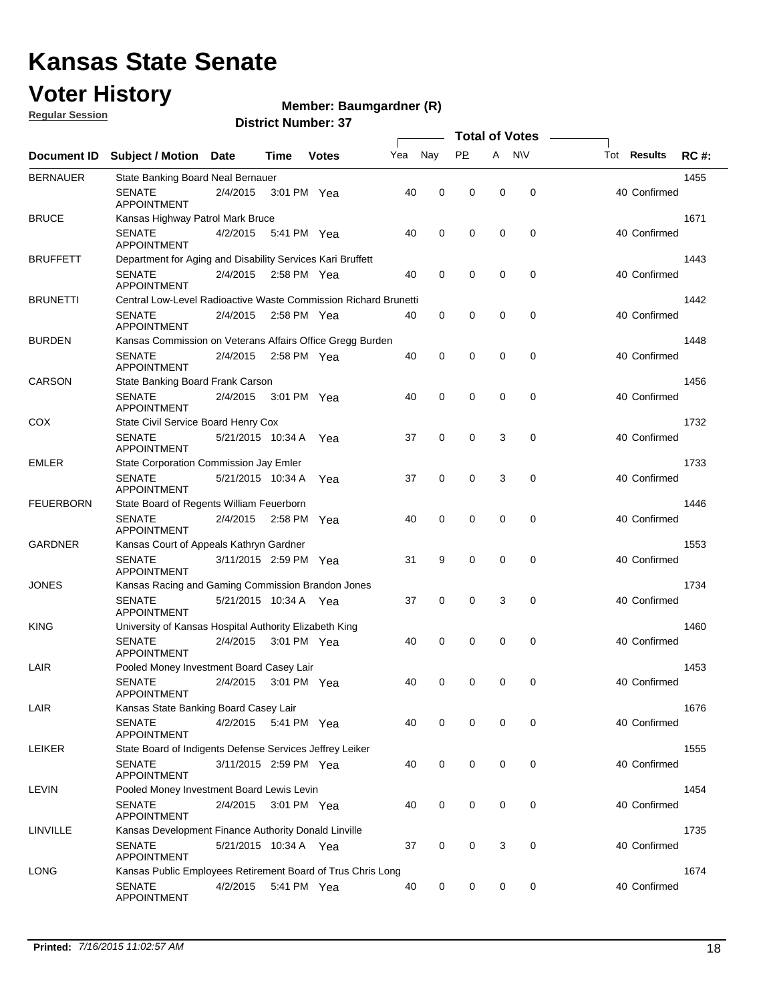### **Voter History**

**Regular Session**

#### **Member: Baumgardner (R)**

|                  |                                                                 |                       |             |              |     |             | <b>Total of Votes</b> |             |             |                                   |
|------------------|-----------------------------------------------------------------|-----------------------|-------------|--------------|-----|-------------|-----------------------|-------------|-------------|-----------------------------------|
| Document ID      | <b>Subject / Motion</b>                                         | Date                  | Time        | <b>Votes</b> | Yea | Nay         | <b>PP</b>             |             | A NW        | Tot <b>Results</b><br><b>RC#:</b> |
| <b>BERNAUER</b>  | State Banking Board Neal Bernauer                               |                       |             |              |     |             |                       |             |             | 1455                              |
|                  | <b>SENATE</b><br><b>APPOINTMENT</b>                             | 2/4/2015              | 3:01 PM Yea |              | 40  | 0           | $\mathbf 0$           | $\mathbf 0$ | 0           | 40 Confirmed                      |
| <b>BRUCE</b>     | Kansas Highway Patrol Mark Bruce                                |                       |             |              |     |             |                       |             |             | 1671                              |
|                  | <b>SENATE</b><br><b>APPOINTMENT</b>                             | 4/2/2015              | 5:41 PM Yea |              | 40  | $\mathbf 0$ | $\mathbf 0$           | $\mathbf 0$ | $\mathbf 0$ | 40 Confirmed                      |
| <b>BRUFFETT</b>  | Department for Aging and Disability Services Kari Bruffett      |                       |             |              |     |             |                       |             |             | 1443                              |
|                  | <b>SENATE</b><br><b>APPOINTMENT</b>                             | 2/4/2015              | 2:58 PM Yea |              | 40  | 0           | 0                     | $\mathbf 0$ | 0           | 40 Confirmed                      |
| <b>BRUNETTI</b>  | Central Low-Level Radioactive Waste Commission Richard Brunetti |                       |             |              |     |             |                       |             |             | 1442                              |
|                  | <b>SENATE</b><br><b>APPOINTMENT</b>                             | 2/4/2015              | 2:58 PM Yea |              | 40  | $\mathbf 0$ | 0                     | 0           | $\mathbf 0$ | 40 Confirmed                      |
| <b>BURDEN</b>    | Kansas Commission on Veterans Affairs Office Gregg Burden       |                       |             |              |     |             |                       |             |             | 1448                              |
|                  | <b>SENATE</b><br><b>APPOINTMENT</b>                             | 2/4/2015              | 2:58 PM Yea |              | 40  | 0           | 0                     | $\mathbf 0$ | 0           | 40 Confirmed                      |
| <b>CARSON</b>    | State Banking Board Frank Carson                                |                       |             |              |     |             |                       |             |             | 1456                              |
|                  | <b>SENATE</b><br><b>APPOINTMENT</b>                             | 2/4/2015              | 3:01 PM Yea |              | 40  | $\mathbf 0$ | 0                     | $\mathbf 0$ | 0           | 40 Confirmed                      |
| <b>COX</b>       | State Civil Service Board Henry Cox                             |                       |             |              |     |             |                       |             |             | 1732                              |
|                  | <b>SENATE</b><br><b>APPOINTMENT</b>                             | 5/21/2015 10:34 A     |             | Yea          | 37  | $\mathbf 0$ | 0                     | 3           | $\mathbf 0$ | 40 Confirmed                      |
| <b>EMLER</b>     | State Corporation Commission Jay Emler                          |                       |             |              |     |             |                       |             |             | 1733                              |
|                  | <b>SENATE</b><br><b>APPOINTMENT</b>                             | 5/21/2015 10:34 A     |             | Yea          | 37  | 0           | 0                     | 3           | 0           | 40 Confirmed                      |
| <b>FEUERBORN</b> | State Board of Regents William Feuerborn                        |                       |             |              |     |             |                       |             |             | 1446                              |
|                  | <b>SENATE</b><br><b>APPOINTMENT</b>                             | 2/4/2015              | 2:58 PM Yea |              | 40  | 0           | 0                     | $\mathbf 0$ | 0           | 40 Confirmed                      |
| <b>GARDNER</b>   | Kansas Court of Appeals Kathryn Gardner                         |                       |             |              |     |             |                       |             |             | 1553                              |
|                  | <b>SENATE</b><br><b>APPOINTMENT</b>                             | 3/11/2015 2:59 PM Yea |             |              | 31  | 9           | $\mathbf 0$           | $\mathbf 0$ | $\mathbf 0$ | 40 Confirmed                      |
| <b>JONES</b>     | Kansas Racing and Gaming Commission Brandon Jones               |                       |             |              |     |             |                       |             |             | 1734                              |
|                  | <b>SENATE</b><br><b>APPOINTMENT</b>                             | 5/21/2015 10:34 A Yea |             |              | 37  | 0           | 0                     | 3           | $\mathbf 0$ | 40 Confirmed                      |
| <b>KING</b>      | University of Kansas Hospital Authority Elizabeth King          |                       |             |              |     |             |                       |             |             | 1460                              |
|                  | <b>SENATE</b><br><b>APPOINTMENT</b>                             | 2/4/2015              | 3:01 PM Yea |              | 40  | 0           | 0                     | 0           | 0           | 40 Confirmed                      |
| LAIR             | Pooled Money Investment Board Casey Lair                        |                       |             |              |     |             |                       |             |             | 1453                              |
|                  | <b>SENATE</b><br>APPOINTMENT                                    | 2/4/2015              | 3:01 PM Yea |              | 40  | 0           | 0                     | 0           | $\mathbf 0$ | 40 Confirmed                      |
| LAIR             | Kansas State Banking Board Casey Lair                           |                       |             |              |     |             |                       |             |             | 1676                              |
|                  | <b>SENATE</b><br>APPOINTMENT                                    | 4/2/2015 5:41 PM Yea  |             |              | 40  | 0           | 0                     | 0           | 0           | 40 Confirmed                      |
| <b>LEIKER</b>    | State Board of Indigents Defense Services Jeffrey Leiker        |                       |             |              |     |             |                       |             |             | 1555                              |
|                  | <b>SENATE</b><br><b>APPOINTMENT</b>                             | 3/11/2015 2:59 PM Yea |             |              | 40  | 0           | 0                     | 0           | 0           | 40 Confirmed                      |
| LEVIN            | Pooled Money Investment Board Lewis Levin                       |                       |             |              |     |             |                       |             |             | 1454                              |
|                  | <b>SENATE</b><br>APPOINTMENT                                    | 2/4/2015              | 3:01 PM Yea |              | 40  | 0           | 0                     | 0           | 0           | 40 Confirmed                      |
| LINVILLE         | Kansas Development Finance Authority Donald Linville            |                       |             |              |     |             |                       |             |             | 1735                              |
|                  | <b>SENATE</b><br><b>APPOINTMENT</b>                             | 5/21/2015 10:34 A Yea |             |              | 37  | 0           | 0                     | 3           | 0           | 40 Confirmed                      |
| LONG             | Kansas Public Employees Retirement Board of Trus Chris Long     |                       |             |              |     |             |                       |             |             | 1674                              |
|                  | <b>SENATE</b><br>APPOINTMENT                                    | 4/2/2015 5:41 PM Yea  |             |              | 40  | 0           | $\mathbf 0$           | 0           | 0           | 40 Confirmed                      |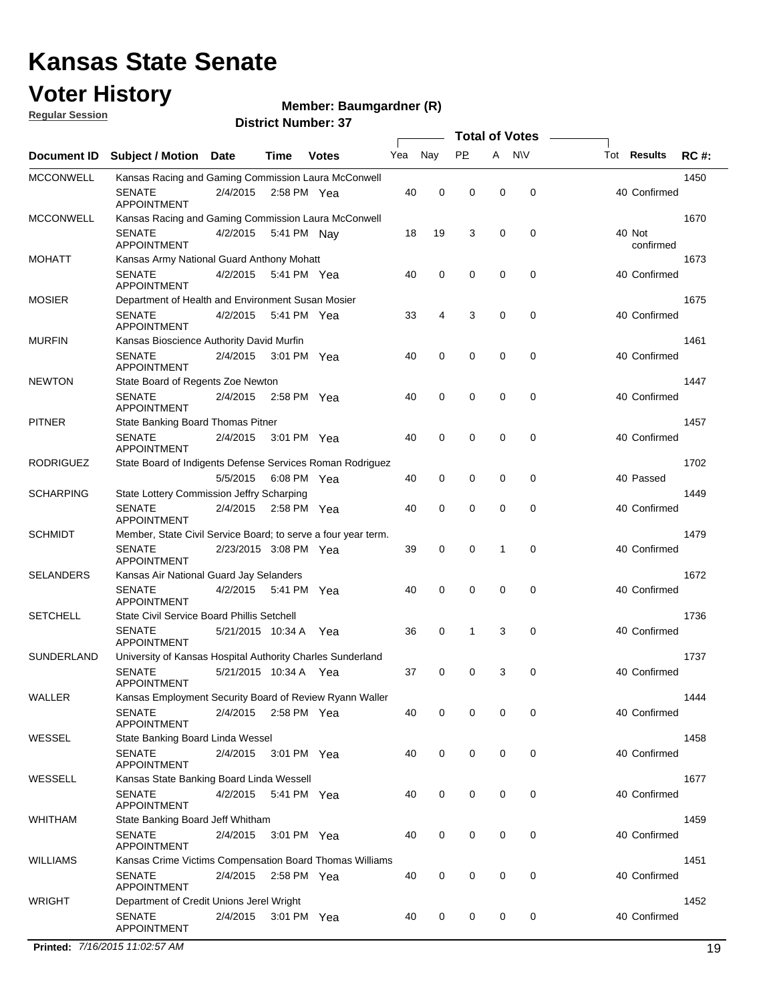#### **Voter History**

**Regular Session**

#### **Member: Baumgardner (R)**

**District Number: 37**

|                  |                                                               |                       |             |              |     |             | <b>Total of Votes</b> |   |             |                     |             |
|------------------|---------------------------------------------------------------|-----------------------|-------------|--------------|-----|-------------|-----------------------|---|-------------|---------------------|-------------|
| Document ID      | <b>Subject / Motion Date</b>                                  |                       | Time        | <b>Votes</b> | Yea | Nay         | <b>PP</b>             | A | <b>NV</b>   | Tot <b>Results</b>  | <b>RC#:</b> |
| <b>MCCONWELL</b> | Kansas Racing and Gaming Commission Laura McConwell           |                       |             |              |     |             |                       |   |             |                     | 1450        |
|                  | <b>SENATE</b><br><b>APPOINTMENT</b>                           | 2/4/2015              | 2:58 PM Yea |              | 40  | 0           | 0                     | 0 | 0           | 40 Confirmed        |             |
| <b>MCCONWELL</b> | Kansas Racing and Gaming Commission Laura McConwell           |                       |             |              |     |             |                       |   |             |                     | 1670        |
|                  | <b>SENATE</b><br>APPOINTMENT                                  | 4/2/2015              | 5:41 PM Nay |              | 18  | 19          | 3                     | 0 | 0           | 40 Not<br>confirmed |             |
| <b>MOHATT</b>    | Kansas Army National Guard Anthony Mohatt                     |                       |             |              |     |             |                       |   |             |                     | 1673        |
|                  | <b>SENATE</b><br><b>APPOINTMENT</b>                           | 4/2/2015              | 5:41 PM Yea |              | 40  | 0           | 0                     | 0 | 0           | 40 Confirmed        |             |
| <b>MOSIER</b>    | Department of Health and Environment Susan Mosier             |                       |             |              |     |             |                       |   |             |                     | 1675        |
|                  | <b>SENATE</b><br><b>APPOINTMENT</b>                           | 4/2/2015              | 5:41 PM Yea |              | 33  | 4           | 3                     | 0 | 0           | 40 Confirmed        |             |
| <b>MURFIN</b>    | Kansas Bioscience Authority David Murfin                      |                       |             |              |     |             |                       |   |             |                     | 1461        |
|                  | <b>SENATE</b><br><b>APPOINTMENT</b>                           | 2/4/2015              | 3:01 PM Yea |              | 40  | 0           | 0                     | 0 | 0           | 40 Confirmed        |             |
| <b>NEWTON</b>    | State Board of Regents Zoe Newton                             |                       |             |              |     |             |                       |   |             |                     | 1447        |
|                  | <b>SENATE</b><br>APPOINTMENT                                  | 2/4/2015              | 2:58 PM Yea |              | 40  | $\mathbf 0$ | 0                     | 0 | 0           | 40 Confirmed        |             |
| <b>PITNER</b>    | State Banking Board Thomas Pitner                             |                       |             |              |     |             |                       |   |             |                     | 1457        |
|                  | <b>SENATE</b><br><b>APPOINTMENT</b>                           | 2/4/2015              | 3:01 PM Yea |              | 40  | 0           | 0                     | 0 | 0           | 40 Confirmed        |             |
| <b>RODRIGUEZ</b> | State Board of Indigents Defense Services Roman Rodriguez     |                       |             |              |     |             |                       |   |             |                     | 1702        |
|                  |                                                               | 5/5/2015              | 6:08 PM Yea |              | 40  | 0           | 0                     | 0 | 0           | 40 Passed           |             |
| <b>SCHARPING</b> | State Lottery Commission Jeffry Scharping                     |                       |             |              |     |             |                       |   |             |                     | 1449        |
|                  | <b>SENATE</b><br><b>APPOINTMENT</b>                           | 2/4/2015              |             | 2:58 PM Yea  | 40  | $\mathbf 0$ | 0                     | 0 | 0           | 40 Confirmed        |             |
| <b>SCHMIDT</b>   | Member, State Civil Service Board; to serve a four year term. |                       |             |              |     |             |                       |   |             |                     | 1479        |
|                  | <b>SENATE</b><br><b>APPOINTMENT</b>                           | 2/23/2015 3:08 PM Yea |             |              | 39  | $\mathbf 0$ | 0                     | 1 | 0           | 40 Confirmed        |             |
| <b>SELANDERS</b> | Kansas Air National Guard Jay Selanders                       |                       |             |              |     |             |                       |   |             |                     | 1672        |
|                  | <b>SENATE</b><br><b>APPOINTMENT</b>                           | 4/2/2015              | 5:41 PM Yea |              | 40  | $\mathbf 0$ | 0                     | 0 | 0           | 40 Confirmed        |             |
| <b>SETCHELL</b>  | State Civil Service Board Phillis Setchell                    |                       |             |              |     |             |                       |   |             |                     | 1736        |
|                  | <b>SENATE</b><br><b>APPOINTMENT</b>                           | 5/21/2015 10:34 A     |             | Yea          | 36  | 0           | 1                     | 3 | $\mathbf 0$ | 40 Confirmed        |             |
| SUNDERLAND       | University of Kansas Hospital Authority Charles Sunderland    |                       |             |              |     |             |                       |   |             |                     | 1737        |
|                  | <b>SENATE</b><br>APPOINTMENT                                  | 5/21/2015 10:34 A Yea |             |              | 37  | $\mathbf 0$ | 0                     | 3 | 0           | 40 Confirmed        |             |
| WALLER           | Kansas Employment Security Board of Review Ryann Waller       |                       |             |              |     |             |                       |   |             |                     | 1444        |
|                  | <b>SENATE</b><br>APPOINTMENT                                  | 2/4/2015 2:58 PM Yea  |             |              | 40  | 0           | 0                     | 0 | 0           | 40 Confirmed        |             |
| WESSEL           | State Banking Board Linda Wessel                              |                       |             |              |     |             |                       |   |             |                     | 1458        |
|                  | <b>SENATE</b><br><b>APPOINTMENT</b>                           | 2/4/2015 3:01 PM Yea  |             |              | 40  | $\mathbf 0$ | 0                     | 0 | 0           | 40 Confirmed        |             |
| WESSELL          | Kansas State Banking Board Linda Wessell                      |                       |             |              |     |             |                       |   |             |                     | 1677        |
|                  | <b>SENATE</b><br>APPOINTMENT                                  | 4/2/2015 5:41 PM Yea  |             |              | 40  | 0           | 0                     | 0 | 0           | 40 Confirmed        |             |
| WHITHAM          | State Banking Board Jeff Whitham                              |                       |             |              |     |             |                       |   |             |                     | 1459        |
|                  | <b>SENATE</b><br><b>APPOINTMENT</b>                           | 2/4/2015              | 3:01 PM Yea |              | 40  | 0           | 0                     | 0 | 0           | 40 Confirmed        |             |
| <b>WILLIAMS</b>  | Kansas Crime Victims Compensation Board Thomas Williams       |                       |             |              |     |             |                       |   |             |                     | 1451        |
|                  | <b>SENATE</b><br><b>APPOINTMENT</b>                           | 2/4/2015              | 2:58 PM Yea |              | 40  | 0           | 0                     | 0 | 0           | 40 Confirmed        |             |
| <b>WRIGHT</b>    | Department of Credit Unions Jerel Wright                      |                       |             |              |     |             |                       |   |             |                     | 1452        |
|                  | <b>SENATE</b><br><b>APPOINTMENT</b>                           | 2/4/2015              | 3:01 PM Yea |              | 40  | 0           | 0                     | 0 | 0           | 40 Confirmed        |             |

**Printed:** *7/16/2015 11:02:57 AM* 19